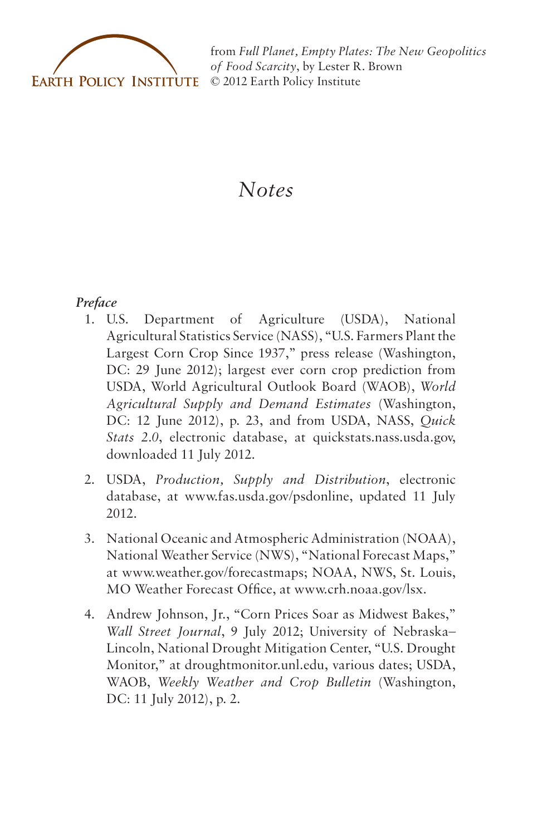

from *[Full Planet, Empty Plates: The New Geopolitics](http://www.earth-policy.org) of Food Scarcity*, by Lester R. Brown © 2012 Earth Policy Institute

# *Notes*

# *Preface*

- 1. U.S. Department of Agriculture (USDA), National Agricultural Statistics Service (NASS), "U.S. Farmers Plant the Largest Corn Crop Since 1937," press release (Washington, DC: 29 June 2012); largest ever corn crop prediction from USDA, World Agricultural Outlook Board (WAOB), *World Agricultural Supply and Demand Estimates* (Washington, DC: 12 June 2012), p. 23, and from USDA, NASS, *Quick Stats 2.0*, electronic database, at quickstats.nass.usda.gov, downloaded 11 July 2012.
- 2. USDA, *Production, Supply and Distribution*, electronic database, at www.fas.usda.gov/psdonline, updated 11 July 2012.
- 3. National Oceanic and Atmospheric Administration (NOAA), National Weather Service (NWS), "National Forecast Maps," at www.weather.gov/forecastmaps; NOAA, NWS, St. Louis, MO Weather Forecast Office, at www.crh.noaa.gov/lsx.
- 4. Andrew Johnson, Jr., "Corn Prices Soar as Midwest Bakes," *Wall Street Journal*, 9 July 2012; University of Nebraska– Lincoln, National Drought Mitigation Center, "U.S. Drought Monitor," at droughtmonitor.unl.edu, various dates; USDA, WAOB, *Weekly Weather and Crop Bulletin* (Washington, DC: 11 July 2012), p. 2.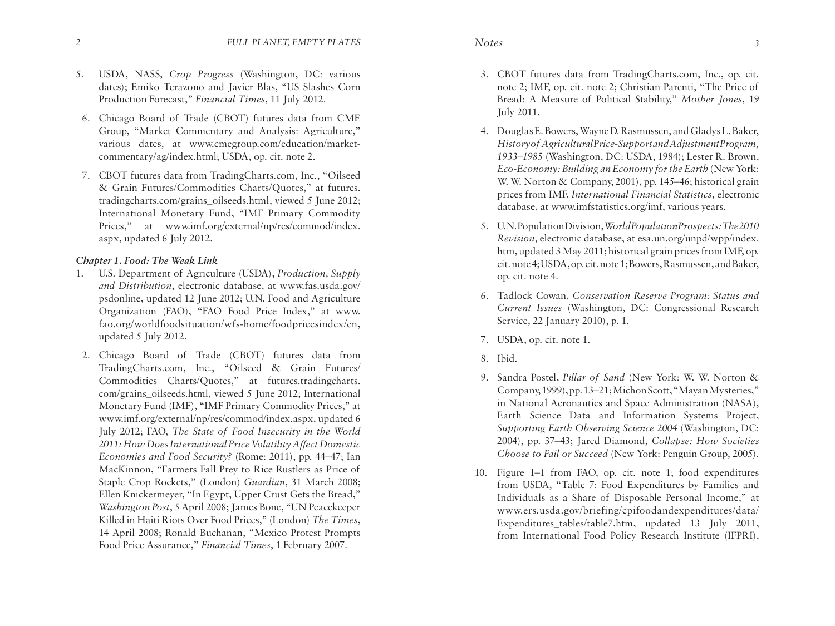- 5. USDA, NASS, *Crop Progress* (Washington, DC: various dates); Emiko Terazono and Javier Blas, "US Slashes Corn Production Forecast," *Financial Times*, 11 July 2012.
- 6. Chicago Board of Trade (CBOT) futures data from CME Group, "Market Commentary and Analysis: Agriculture," various dates, at www.cmegroup.com/education/marketcommentary/ag/index.html; USDA, op. cit. note 2.
- 7. CBOT futures data from TradingCharts.com, Inc., "Oilseed & Grain Futures/Commodities Charts/Quotes," at futures. tradingcharts.com/grains\_oilseeds.html, viewed 5 June 2012; International Monetary Fund, "IMF Primary Commodity Prices," at www.imf.org/external/np/res/commod/index. aspx, updated 6 July 2012.

# *Chapter 1. Food: The Weak Link*

- 1. U.S. Department of Agriculture (USDA), *Production, Supply and Distribution*, electronic database, at www.fas.usda.gov/ psdonline, updated 12 June 2012; U.N. Food and Agriculture Organization (FAO), "FAO Food Price Index," at www. fao.org/worldfoodsituation/wfs-home/foodpricesindex/en, updated 5 July 2012.
- 2. Chicago Board of Trade (CBOT) futures data from TradingCharts.com, Inc., "Oilseed & Grain Futures/ Commodities Charts/Quotes," at futures.tradingcharts. com/grains\_oilseeds.html, viewed 5 June 2012; International Monetary Fund (IMF), "IMF Primary Commodity Prices," at www.imf.org/external/np/res/commod/index.aspx, updated 6 July 2012; FAO, *The State of Food Insecurity in the World 2011: How Does International Price Volatility Affect Domestic Economies and Food Security?* (Rome: 2011), pp. 44–47; Ian MacKinnon, "Farmers Fall Prey to Rice Rustlers as Price of Staple Crop Rockets," (London) *Guardian*, 31 March 2008; Ellen Knickermeyer, "In Egypt, Upper Crust Gets the Bread," *Washington Post*, 5 April 2008; James Bone, "UN Peacekeeper Killed in Haiti Riots Over Food Prices," (London) *The Times*, 14 April 2008; Ronald Buchanan, "Mexico Protest Prompts Food Price Assurance," *Financial Times*, 1 February 2007.
- 3. CBOT futures data from TradingCharts.com, Inc., op. cit. note 2; IMF, op. cit. note 2; Christian Parenti, "The Price of Bread: A Measure of Political Stability," *Mother Jones*, 19 July 2011.
- 4. Douglas E. Bowers, Wayne D. Rasmussen, and Gladys L. Baker, *History of Agricultural Price-Support and Adjustment Program, 1933–1985* (Washington, DC: USDA, 1984); Lester R. Brown, *Eco-Economy: Building an Economy for the Earth* (New York: W. W. Norton & Company, 2001), pp. 145–46; historical grain prices from IMF, *International Financial Statistics*, electronic database, at www.imfstatistics.org/imf, various years.
- 5. U.N. Population Division, *World Population Prospects: The 2010 Revision,* electronic database, at esa.un.org/unpd/wpp/index. htm, updated 3 May 2011; historical grain prices from IMF, op. cit. note 4; USDA, op. cit. note 1; Bowers, Rasmussen, and Baker, op. cit. note 4.
- 6. Tadlock Cowan, *Conservation Reserve Program: Status and Current Issues* (Washington, DC: Congressional Research Service, 22 January 2010), p. 1.
- 7. USDA, op. cit. note 1.
- 8. Ibid.
- 9. Sandra Postel, *Pillar of Sand* (New York: W. W. Norton & Company, 1999), pp. 13–21; Michon Scott, "Mayan Mysteries," in National Aeronautics and Space Administration (NASA), Earth Science Data and Information Systems Project, *Supporting Earth Observing Science 2004* (Washington, DC: 2004), pp. 37–43; Jared Diamond, *Collapse: How Societies Choose to Fail or Succeed* (New York: Penguin Group, 2005).
- 10. Figure 1–1 from FAO, op. cit. note 1; food expenditures from USDA, "Table 7: Food Expenditures by Families and Individuals as a Share of Disposable Personal Income," at www.ers.usda.gov/briefing/cpifoodandexpenditures/data/ Expenditures tables/table7.htm, updated 13 July 2011, from International Food Policy Research Institute (IFPRI),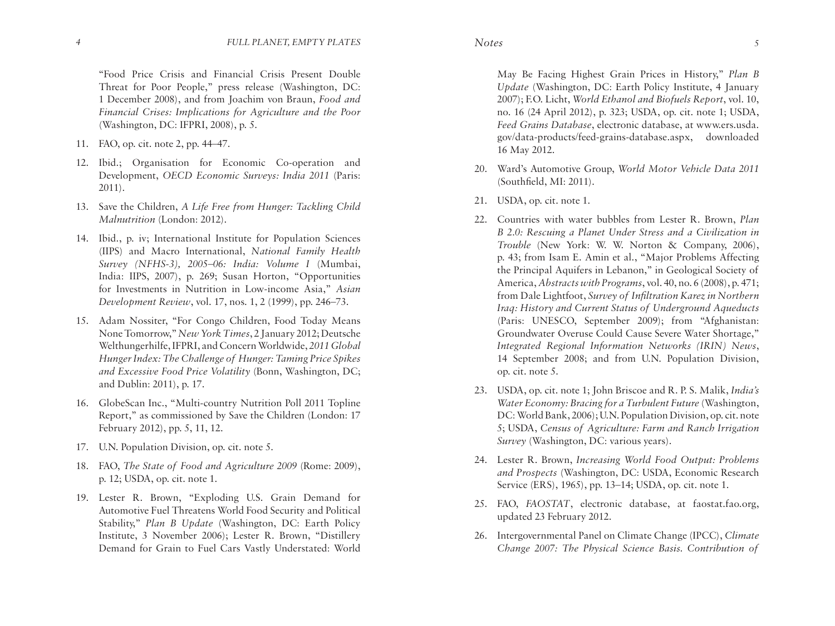"Food Price Crisis and Financial Crisis Present Double Threat for Poor People," press release (Washington, DC: 1 December 2008), and from Joachim von Braun, *Food and Financial Crises: Implications for Agriculture and the Poor* (Washington, DC: IFPRI, 2008), p. 5.

- 11. FAO, op. cit. note 2, pp. 44–47.
- 12. Ibid.; Organisation for Economic Co-operation and Development, *OECD Economic Surveys: India 2011* (Paris: 2011).
- 13. Save the Children, *A Life Free from Hunger: Tackling Child Malnutrition* (London: 2012).
- 14. Ibid., p. iv; International Institute for Population Sciences (IIPS) and Macro International, *National Family Health Survey (NFHS-3), 2005–06: India: Volume I* (Mumbai, India: IIPS, 2007), p. 269; Susan Horton, "Opportunities for Investments in Nutrition in Low-income Asia," *Asian Development Review*, vol. 17, nos. 1, 2 (1999), pp. 246–73.
- 15. Adam Nossiter, "For Congo Children, Food Today Means None Tomorrow," *New York Times*, 2 January 2012; Deutsche Welthungerhilfe, IFPRI, and Concern Worldwide, *2011 Global Hunger Index: The Challenge of Hunger: Taming Price Spikes and Excessive Food Price Volatility* (Bonn, Washington, DC; and Dublin: 2011), p. 17.
- 16. GlobeScan Inc., "Multi-country Nutrition Poll 2011 Topline Report," as commissioned by Save the Children (London: 17 February 2012), pp. 5, 11, 12.
- 17. U.N. Population Division, op. cit. note 5.
- 18. FAO, *The State of Food and Agriculture 2009* (Rome: 2009), p. 12; USDA, op. cit. note 1.
- 19. Lester R. Brown, "Exploding U.S. Grain Demand for Automotive Fuel Threatens World Food Security and Political Stability," *Plan B Update* (Washington, DC: Earth Policy Institute, 3 November 2006); Lester R. Brown, "Distillery Demand for Grain to Fuel Cars Vastly Understated: World

May Be Facing Highest Grain Prices in History," *Plan B Update* (Washington, DC: Earth Policy Institute, 4 January 2007); F.O. Licht, *World Ethanol and Biofuels Report*, vol. 10, no. 16 (24 April 2012), p. 323; USDA, op. cit. note 1; USDA, *Feed Grains Database*, electronic database, at www.ers.usda. gov/data-products/feed-grains-database.aspx, downloaded 16 May 2012.

- 20. Ward's Automotive Group, *World Motor Vehicle Data 2011* (Southfield, MI: 2011).
- 21. USDA, op. cit. note 1.
- 22. Countries with water bubbles from Lester R. Brown, *Plan B 2.0: Rescuing a Planet Under Stress and a Civilization in Trouble* (New York: W. W. Norton & Company, 2006), p. 43; from Isam E. Amin et al., "Major Problems Affecting the Principal Aquifers in Lebanon," in Geological Society of America, *Abstracts with Programs*, vol. 40, no. 6 (2008), p. 471; from Dale Lightfoot, *Survey of Infiltration Karez in Northern Iraq: History and Current Status of Underground Aqueducts* (Paris: UNESCO, September 2009); from "Afghanistan: Groundwater Overuse Could Cause Severe Water Shortage," *Integrated Regional Information Networks (IRIN) News*, 14 September 2008; and from U.N. Population Division, op. cit. note 5.
- 23. USDA, op. cit. note 1; John Briscoe and R. P. S. Malik, *India's Water Economy: Bracing for a Turbulent Future* (Washington, DC: World Bank, 2006); U.N. Population Division, op. cit. note 5; USDA, *Census of Agriculture: Farm and Ranch Irrigation Survey* (Washington, DC: various years).
- 24. Lester R. Brown, *Increasing World Food Output: Problems and Prospects* (Washington, DC: USDA, Economic Research Service (ERS), 1965), pp. 13–14; USDA, op. cit. note 1.
- 25. FAO, *FAOSTAT*, electronic database, at faostat.fao.org, updated 23 February 2012.
- 26. Intergovernmental Panel on Climate Change (IPCC), *Climate Change 2007: The Physical Science Basis. Contribution of*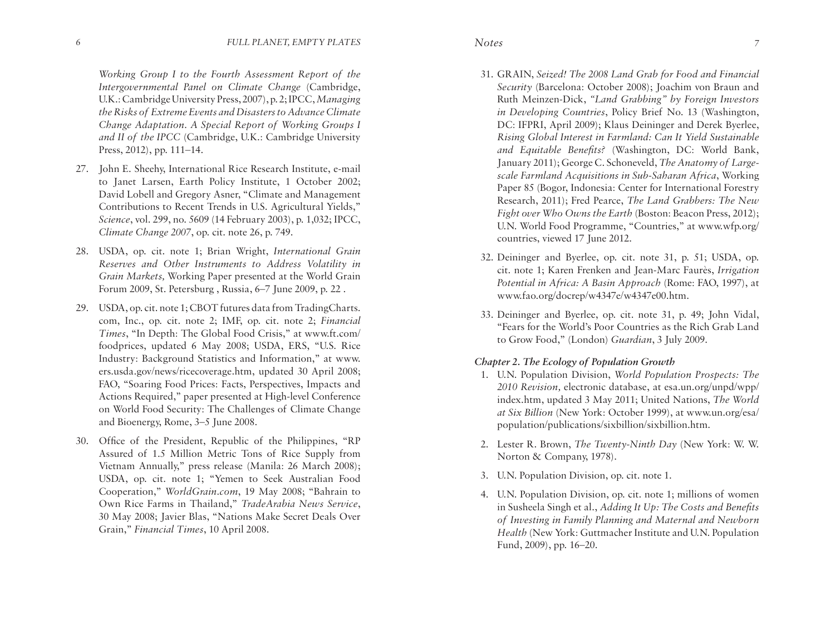*Working Group I to the Fourth Assessment Report of the Intergovernmental Panel on Climate Change* (Cambridge, U.K.: Cambridge University Press, 2007), p. 2; IPCC, *Managing the Risks of Extreme Events and Disasters to Advance Climate Change Adaptation. A Special Report of Working Groups I and II of the IPCC* (Cambridge, U.K.: Cambridge University Press, 2012), pp. 111–14.

- 27. John E. Sheehy, International Rice Research Institute, e-mail to Janet Larsen, Earth Policy Institute, 1 October 2002; David Lobell and Gregory Asner, "Climate and Management Contributions to Recent Trends in U.S. Agricultural Yields," *Science*, vol. 299, no. 5609 (14 February 2003), p. 1,032; IPCC, *Climate Change 2007*, op. cit. note 26, p. 749.
- 28. USDA, op. cit. note 1; Brian Wright, *International Grain Reserves and Other Instruments to Address Volatility in Grain Markets,* Working Paper presented at the World Grain Forum 2009, St. Petersburg , Russia, 6–7 June 2009, p. 22 .
- 29. USDA, op. cit. note 1; CBOT futures data from TradingCharts. com, Inc., op. cit. note 2; IMF, op. cit. note 2; *Financial Times*, "In Depth: The Global Food Crisis," at www.ft.com/ foodprices, updated 6 May 2008; USDA, ERS, "U.S. Rice Industry: Background Statistics and Information," at www. ers.usda.gov/news/ricecoverage.htm, updated 30 April 2008; FAO, "Soaring Food Prices: Facts, Perspectives, Impacts and Actions Required," paper presented at High-level Conference on World Food Security: The Challenges of Climate Change and Bioenergy, Rome, 3–5 June 2008.
- 30. Office of the President, Republic of the Philippines, "RP Assured of 1.5 Million Metric Tons of Rice Supply from Vietnam Annually," press release (Manila: 26 March 2008); USDA, op. cit. note 1; "Yemen to Seek Australian Food Cooperation," *WorldGrain.com*, 19 May 2008; "Bahrain to Own Rice Farms in Thailand," *TradeArabia News Service*, 30 May 2008; Javier Blas, "Nations Make Secret Deals Over Grain," *Financial Times*, 10 April 2008.
- 31. GRAIN, *Seized! The 2008 Land Grab for Food and Financial Security* (Barcelona: October 2008); Joachim von Braun and Ruth Meinzen-Dick, *"Land Grabbing" by Foreign Investors in Developing Countries*, Policy Brief No. 13 (Washington, DC: IFPRI, April 2009); Klaus Deininger and Derek Byerlee, *Rising Global Interest in Farmland: Can It Yield Sustainable and Equitable Benefits?* (Washington, DC: World Bank, January 2011); George C. Schoneveld, *The Anatomy of Largescale Farmland Acquisitions in Sub-Saharan Africa*, Working Paper 85 (Bogor, Indonesia: Center for International Forestry Research, 2011); Fred Pearce, *The Land Grabbers: The New Fight over Who Owns the Earth* (Boston: Beacon Press, 2012); U.N. World Food Programme, "Countries," at www.wfp.org/ countries, viewed 17 June 2012.
- 32. Deininger and Byerlee, op. cit. note 31, p. 51; USDA, op. cit. note 1; Karen Frenken and Jean-Marc Faurès, *Irrigation Potential in Africa: A Basin Approach* (Rome: FAO, 1997), at www.fao.org/docrep/w4347e/w4347e00.htm.
- 33. Deininger and Byerlee, op. cit. note 31, p. 49; John Vidal, "Fears for the World's Poor Countries as the Rich Grab Land to Grow Food," (London) *Guardian*, 3 July 2009.

# *Chapter 2. The Ecology of Population Growth*

- 1. U.N. Population Division, *World Population Prospects: The 2010 Revision,* electronic database, at esa.un.org/unpd/wpp/ index.htm, updated 3 May 2011; United Nations, *The World at Six Billion* (New York: October 1999), at www.un.org/esa/ population/publications/sixbillion/sixbillion.htm.
- 2. Lester R. Brown, *The Twenty-Ninth Day* (New York: W. W. Norton & Company, 1978).
- 3. U.N. Population Division, op. cit. note 1.
- 4. U.N. Population Division, op. cit. note 1; millions of women in Susheela Singh et al., *Adding It Up: The Costs and Benefits of Investing in Family Planning and Maternal and Newborn Health* (New York: Guttmacher Institute and U.N. Population Fund, 2009), pp. 16–20.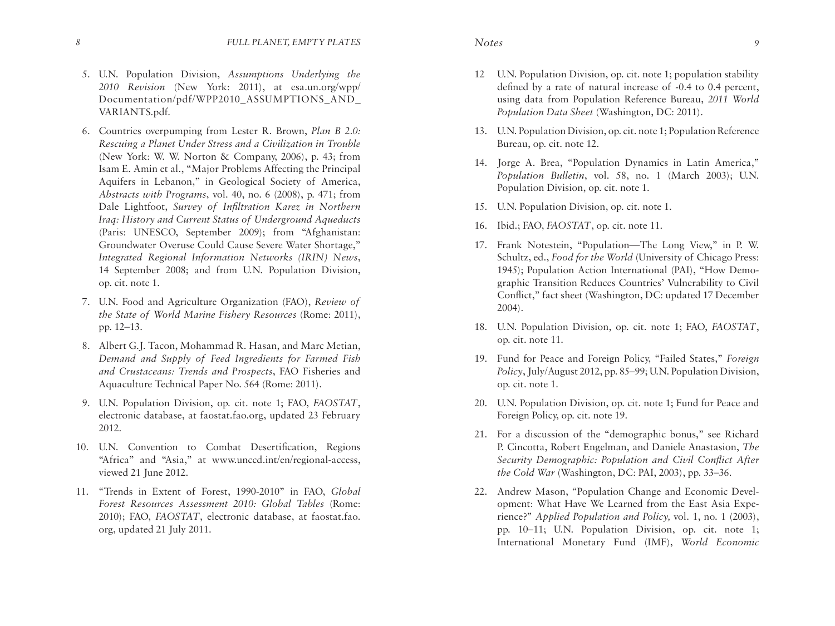- 5. U.N. Population Division, *Assumptions Underlying the 2010 Revision* (New York: 2011), at esa.un.org/wpp/ Documentation/pdf/WPP2010\_ASSUMPTIONS\_AND\_ VARIANTS.pdf.
- 6. Countries overpumping from Lester R. Brown, *Plan B 2.0: Rescuing a Planet Under Stress and a Civilization in Trouble*  (New York: W. W. Norton & Company, 2006), p. 43; from Isam E. Amin et al., "Major Problems Affecting the Principal Aquifers in Lebanon," in Geological Society of America, *Abstracts with Programs*, vol. 40, no. 6 (2008), p. 471; from Dale Lightfoot, *Survey of Infiltration Karez in Northern Iraq: History and Current Status of Underground Aqueducts*  (Paris: UNESCO, September 2009); from "Afghanistan: Groundwater Overuse Could Cause Severe Water Shortage," *Integrated Regional Information Networks (IRIN) News*, 14 September 2008; and from U.N. Population Division, op. cit. note 1.
- 7. U.N. Food and Agriculture Organization (FAO), *Review of the State of World Marine Fishery Resources* (Rome: 2011), pp. 12–13.
- 8. Albert G.J. Tacon, Mohammad R. Hasan, and Marc Metian, *Demand and Supply of Feed Ingredients for Farmed Fish and Crustaceans: Trends and Prospects*, FAO Fisheries and Aquaculture Technical Paper No. 564 (Rome: 2011).
- 9. U.N. Population Division, op. cit. note 1; FAO, *FAOSTAT*, electronic database, at faostat.fao.org, updated 23 February 2012.
- 10. U.N. Convention to Combat Desertification, Regions "Africa" and "Asia," at www.unccd.int/en/regional-access, viewed 21 June 2012.
- 11. "Trends in Extent of Forest, 1990-2010" in FAO, *Global Forest Resources Assessment 2010: Global Tables* (Rome: 2010); FAO, *FAOSTAT*, electronic database, at faostat.fao. org, updated 21 July 2011.
- 
- 12 U.N. Population Division, op. cit. note 1; population stability defined by a rate of natural increase of -0.4 to 0.4 percent, using data from Population Reference Bureau, *2011 World Population Data Sheet* (Washington, DC: 2011).
- 13. U.N. Population Division, op. cit. note 1; Population Reference Bureau, op. cit. note 12.
- 14. Jorge A. Brea, "Population Dynamics in Latin America," *Population Bulletin*, vol. 58, no. 1 (March 2003); U.N. Population Division, op. cit. note 1.
- 15. U.N. Population Division, op. cit. note 1.
- 16. Ibid.; FAO, *FAOSTAT*, op. cit. note 11.
- 17. Frank Notestein, "Population—The Long View," in P. W. Schultz, ed., *Food for the World* (University of Chicago Press: 1945); Population Action International (PAI), "How Demographic Transition Reduces Countries' Vulnerability to Civil Conflict," fact sheet (Washington, DC: updated 17 December 2004).
- 18. U.N. Population Division, op. cit. note 1; FAO, *FAOSTAT*, op. cit. note 11.
- 19. Fund for Peace and Foreign Policy, "Failed States," *Foreign Policy*, July/August 2012, pp. 85–99; U.N. Population Division, op. cit. note 1.
- 20. U.N. Population Division, op. cit. note 1; Fund for Peace and Foreign Policy, op. cit. note 19.
- 21. For a discussion of the "demographic bonus," see Richard P. Cincotta, Robert Engelman, and Daniele Anastasion, *The Security Demographic: Population and Civil Conflict After the Cold War* (Washington, DC: PAI, 2003), pp. 33–36.
- 22. Andrew Mason, "Population Change and Economic Development: What Have We Learned from the East Asia Experience?" *Applied Population and Policy,* vol. 1, no. 1 (2003), pp. 10–11; U.N. Population Division, op. cit. note 1; International Monetary Fund (IMF), *World Economic*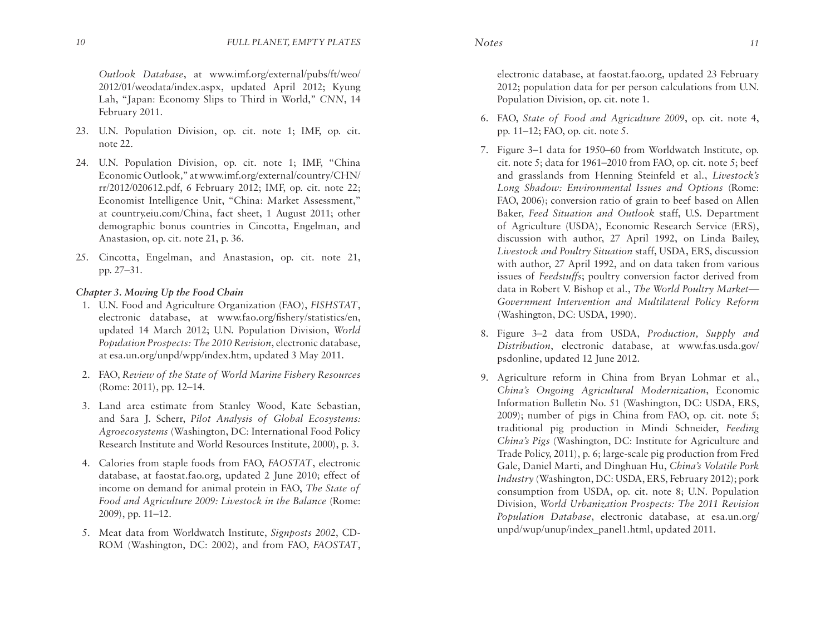*Outlook Database*, at www.imf.org/external/pubs/ft/weo/ 2012/01/weodata/index.aspx, updated April 2012; Kyung Lah, "Japan: Economy Slips to Third in World," *CNN*, 14 February 2011.

- 23. U.N. Population Division, op. cit. note 1; IMF, op. cit. note 22.
- 24. U.N. Population Division, op. cit. note 1; IMF, "China Economic Outlook*,*" at www.imf.org/external/country/CHN/ rr/2012/020612.pdf, 6 February 2012; IMF, op. cit. note 22; Economist Intelligence Unit, "China: Market Assessment," at country.eiu.com/China, fact sheet, 1 August 2011; other demographic bonus countries in Cincotta, Engelman, and Anastasion, op. cit. note 21, p. 36.
- 25. Cincotta, Engelman, and Anastasion, op. cit. note 21, pp. 27–31.

## *Chapter 3. Moving Up the Food Chain*

- 1. U.N. Food and Agriculture Organization (FAO), *FISHSTAT*, electronic database, at www.fao.org/fishery/statistics/en, updated 14 March 2012; U.N. Population Division, *World Population Prospects: The 2010 Revision*, electronic database, at esa.un.org/unpd/wpp/index.htm, updated 3 May 2011.
- 2. FAO, *Review of the State of World Marine Fishery Resources*  (Rome: 2011), pp. 12–14.
- 3. Land area estimate from Stanley Wood, Kate Sebastian, and Sara J. Scherr, *Pilot Analysis of Global Ecosystems: Agroecosystems* (Washington, DC: International Food Policy Research Institute and World Resources Institute, 2000), p. 3.
- 4. Calories from staple foods from FAO, *FAOSTAT*, electronic database, at faostat.fao.org, updated 2 June 2010; effect of income on demand for animal protein in FAO, *The State of Food and Agriculture 2009: Livestock in the Balance* (Rome: 2009), pp. 11–12.
- 5. Meat data from Worldwatch Institute, *Signposts 2002*, CD-ROM (Washington, DC: 2002), and from FAO, *FAOSTAT*,

electronic database, at faostat.fao.org, updated 23 February 2012; population data for per person calculations from U.N. Population Division, op. cit. note 1.

- 6. FAO, *State of Food and Agriculture 2009*, op. cit. note 4, pp. 11–12; FAO, op. cit. note 5.
- 7. Figure 3–1 data for 1950–60 from Worldwatch Institute, op. cit. note 5; data for 1961–2010 from FAO, op. cit. note 5; beef and grasslands from Henning Steinfeld et al., *Livestock's Long Shadow: Environmental Issues and Options* (Rome: FAO, 2006); conversion ratio of grain to beef based on Allen Baker, *Feed Situation and Outlook* staff, U.S. Department of Agriculture (USDA), Economic Research Service (ERS), discussion with author, 27 April 1992, on Linda Bailey, *Livestock and Poultry Situation* staff, USDA, ERS, discussion with author, 27 April 1992, and on data taken from various issues of *Feedstuffs*; poultry conversion factor derived from data in Robert V. Bishop et al., *The World Poultry Market— Government Intervention and Multilateral Policy Reform* (Washington, DC: USDA, 1990)*.*
- 8. Figure 3–2 data from USDA, *Production, Supply and Distribution*, electronic database, at www.fas.usda.gov/ psdonline, updated 12 June 2012.
- 9. Agriculture reform in China from Bryan Lohmar et al., *China's Ongoing Agricultural Modernization*, Economic Information Bulletin No. 51 (Washington, DC: USDA, ERS, 2009); number of pigs in China from FAO, op. cit. note 5; traditional pig production in Mindi Schneider, *Feeding China's Pigs* (Washington, DC: Institute for Agriculture and Trade Policy, 2011), p. 6; large-scale pig production from Fred Gale, Daniel Marti, and Dinghuan Hu, *China's Volatile Pork Industry* (Washington, DC: USDA, ERS, February 2012); pork consumption from USDA, op. cit. note 8; U.N. Population Division, *World Urbanization Prospects: The 2011 Revision Population Database*, electronic database, at esa.un.org/ unpd/wup/unup/index\_panel1.html, updated 2011.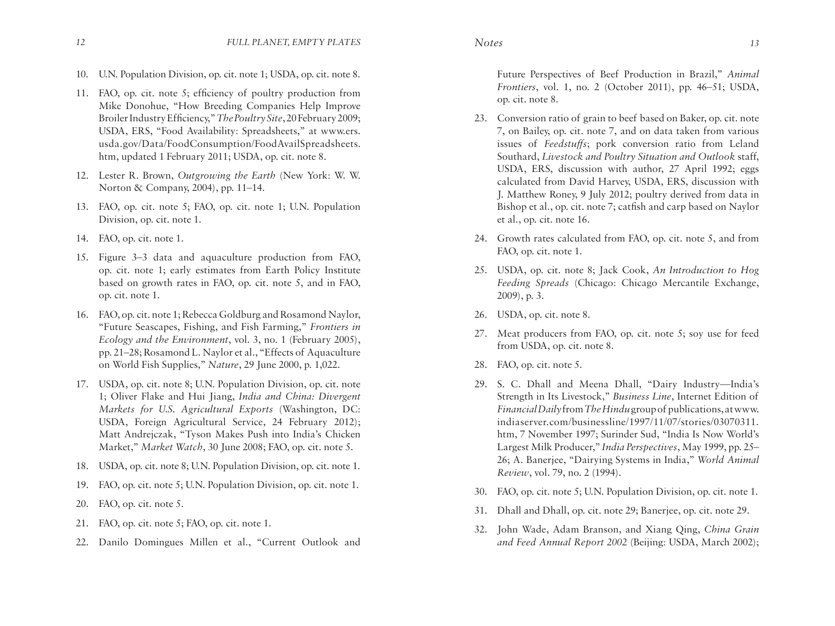- 10. U.N. Population Division, op. cit. note 1; USDA, op. cit. note 8.
- 11. FAO, op. cit. note 5; efficiency of poultry production from Mike Donohue, "How Breeding Companies Help Improve Broiler Industry Efficiency," *The Poultry Site*, 20 February 2009; USDA, ERS, "Food Availability: Spreadsheets," at www.ers. usda.gov/Data/FoodConsumption/FoodAvailSpreadsheets. htm, updated 1 February 2011; USDA, op. cit. note 8.
- 12. Lester R. Brown, *Outgrowing the Earth* (New York: W. W. Norton & Company, 2004), pp. 11–14.
- 13. FAO, op. cit. note 5; FAO, op. cit. note 1; U.N. Population Division, op. cit. note 1.
- 14. FAO, op. cit. note 1.
- 15. Figure 3–3 data and aquaculture production from FAO, op. cit. note 1; early estimates from Earth Policy Institute based on growth rates in FAO, op. cit. note 5, and in FAO, op. cit. note 1.
- 16. FAO, op. cit. note 1; Rebecca Goldburg and Rosamond Naylor, "Future Seascapes, Fishing, and Fish Farming," *Frontiers in Ecology and the Environment*, vol. 3, no. 1 (February 2005), pp. 21–28; Rosamond L. Naylor et al., "Effects of Aquaculture on World Fish Supplies," *Nature*, 29 June 2000, p. 1,022.
- 17. USDA, op. cit. note 8; U.N. Population Division, op. cit. note 1; Oliver Flake and Hui Jiang, *India and China: Divergent Markets for U.S. Agricultural Exports* (Washington, DC: USDA, Foreign Agricultural Service, 24 February 2012); Matt Andrejczak, "Tyson Makes Push into India's Chicken Market," *Market Watch*, 30 June 2008; FAO, op. cit. note 5.
- 18. USDA, op. cit. note 8; U.N. Population Division, op. cit. note 1.
- 19. FAO, op. cit. note 5; U.N. Population Division, op. cit. note 1.
- 20. FAO, op. cit. note 5.
- 21. FAO, op. cit. note 5; FAO, op. cit. note 1.
- 22. Danilo Domingues Millen et al., "Current Outlook and

Future Perspectives of Beef Production in Brazil," *Animal Frontiers*, vol. 1, no. 2 (October 2011), pp. 46–51; USDA, op. cit. note 8.

- 23. Conversion ratio of grain to beef based on Baker, op. cit. note 7, on Bailey, op. cit. note 7, and on data taken from various issues of *Feedstuffs*; pork conversion ratio from Leland Southard, *Livestock and Poultry Situation and Outlook* staff, USDA, ERS, discussion with author, 27 April 1992; eggs calculated from David Harvey, USDA, ERS, discussion with J. Matthew Roney, 9 July 2012; poultry derived from data in Bishop et al., op. cit. note 7; catfish and carp based on Naylor et al., op. cit. note 16.
- 24. Growth rates calculated from FAO, op. cit. note 5, and from FAO, op. cit. note 1.
- 25. USDA, op. cit. note 8; Jack Cook, *An Introduction to Hog Feeding Spreads* (Chicago: Chicago Mercantile Exchange, 2009), p. 3.
- 26. USDA, op. cit. note 8.
- 27. Meat producers from FAO, op. cit. note 5; soy use for feed from USDA, op. cit. note 8.
- 28. FAO, op. cit. note 5.
- 29. S. C. Dhall and Meena Dhall, "Dairy Industry—India's Strength in Its Livestock," *Business Line*, Internet Edition of *Financial Daily* from *The Hindu* group of publications, at www. indiaserver.com/businessline/1997/11/07/stories/03070311. htm, 7 November 1997; Surinder Sud, "India Is Now World's Largest Milk Producer," *India Perspectives*, May 1999, pp. 25– 26; A. Banerjee, "Dairying Systems in India," *World Animal Review*, vol. 79, no. 2 (1994).
- 30. FAO, op. cit. note 5; U.N. Population Division, op. cit. note 1.
- 31. Dhall and Dhall, op. cit. note 29; Banerjee, op. cit. note 29.
- 32. John Wade, Adam Branson, and Xiang Qing, *China Grain and Feed Annual Report 2002* (Beijing: USDA, March 2002);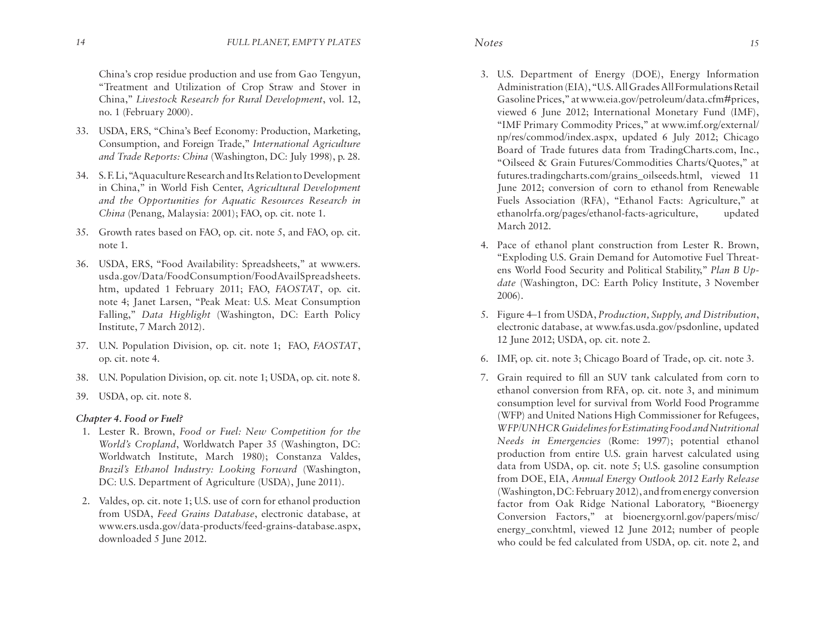China's crop residue production and use from Gao Tengyun, "Treatment and Utilization of Crop Straw and Stover in China," *Livestock Research for Rural Development*, vol. 12, no. 1 (February 2000).

- 33. USDA, ERS, "China's Beef Economy: Production, Marketing, Consumption, and Foreign Trade," *International Agriculture and Trade Reports: China* (Washington, DC: July 1998), p. 28.
- 34. S. F. Li, "Aquaculture Research and Its Relation to Development in China," in World Fish Center, *Agricultural Development and the Opportunities for Aquatic Resources Research in China* (Penang, Malaysia: 2001); FAO, op. cit. note 1.
- 35. Growth rates based on FAO, op. cit. note 5, and FAO, op. cit. note 1.
- 36. USDA, ERS, "Food Availability: Spreadsheets," at www.ers. usda.gov/Data/FoodConsumption/FoodAvailSpreadsheets. htm, updated 1 February 2011; FAO, *FAOSTAT*, op. cit. note 4; Janet Larsen, "Peak Meat: U.S. Meat Consumption Falling," *Data Highlight* (Washington, DC: Earth Policy Institute, 7 March 2012).
- 37. U.N. Population Division, op. cit. note 1; FAO, *FAOSTAT*, op. cit. note 4.
- 38. U.N. Population Division, op. cit. note 1; USDA, op. cit. note 8.
- 39. USDA, op. cit. note 8.

### *Chapter 4. Food or Fuel?*

- 1. Lester R. Brown, *Food or Fuel: New Competition for the World's Cropland*, Worldwatch Paper 35 (Washington, DC: Worldwatch Institute, March 1980); Constanza Valdes, *Brazil's Ethanol Industry: Looking Forward* (Washington, DC: U.S. Department of Agriculture (USDA), June 2011).
- 2. Valdes, op. cit. note 1; U.S. use of corn for ethanol production from USDA, *Feed Grains Database*, electronic database, at www.ers.usda.gov/data-products/feed-grains-database.aspx, downloaded 5 June 2012.
- 3. U.S. Department of Energy (DOE), Energy Information Administration (EIA), "U.S. All Grades All Formulations Retail Gasoline Prices," at www.eia.gov/petroleum/data.cfm#prices, viewed 6 June 2012; International Monetary Fund (IMF), "IMF Primary Commodity Prices," at www.imf.org/external/ np/res/commod/index.aspx, updated 6 July 2012; Chicago Board of Trade futures data from TradingCharts.com, Inc., "Oilseed & Grain Futures/Commodities Charts/Quotes," at futures.tradingcharts.com/grains\_oilseeds.html, viewed 11 June 2012; conversion of corn to ethanol from Renewable Fuels Association (RFA), "Ethanol Facts: Agriculture," at ethanolrfa.org/pages/ethanol-facts-agriculture, updated March 2012.
- 4. Pace of ethanol plant construction from Lester R. Brown, "Exploding U.S. Grain Demand for Automotive Fuel Threatens World Food Security and Political Stability," *Plan B Update* (Washington, DC: Earth Policy Institute, 3 November 2006).
- 5. Figure 4–1 from USDA, *Production, Supply, and Distribution*, electronic database, at www.fas.usda.gov/psdonline, updated 12 June 2012; USDA, op. cit. note 2.
- 6. IMF, op. cit. note 3; Chicago Board of Trade, op. cit. note 3.
- 7. Grain required to fill an SUV tank calculated from corn to ethanol conversion from RFA, op. cit. note 3, and minimum consumption level for survival from World Food Programme (WFP) and United Nations High Commissioner for Refugees, *WFP/UNHCR Guidelines for Estimating Food and Nutritional Needs in Emergencies* (Rome: 1997); potential ethanol production from entire U.S. grain harvest calculated using data from USDA, op. cit. note 5; U.S. gasoline consumption from DOE, EIA, *Annual Energy Outlook 2012 Early Release* (Washington, DC: February 2012), and from energy conversion factor from Oak Ridge National Laboratory, "Bioenergy Conversion Factors," at bioenergy.ornl.gov/papers/misc/ energy\_conv.html, viewed 12 June 2012; number of people who could be fed calculated from USDA, op. cit. note 2, and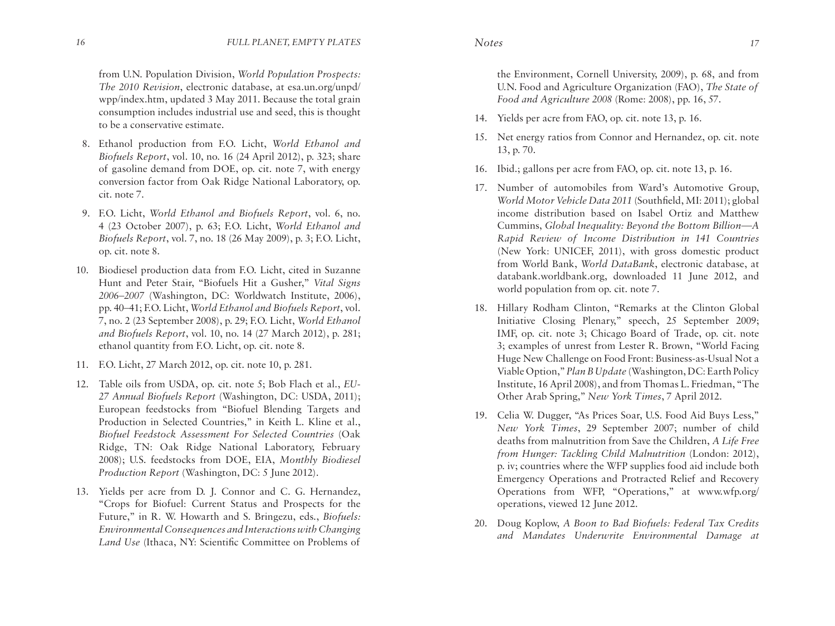from U.N. Population Division, *World Population Prospects: The 2010 Revision*, electronic database, at esa.un.org/unpd/ wpp/index.htm, updated 3 May 2011. Because the total grain consumption includes industrial use and seed, this is thought to be a conservative estimate.

- 8. Ethanol production from F.O. Licht, *World Ethanol and Biofuels Report*, vol. 10, no. 16 (24 April 2012), p. 323; share of gasoline demand from DOE, op. cit. note 7, with energy conversion factor from Oak Ridge National Laboratory, op. cit. note 7.
- 9. F.O. Licht, *World Ethanol and Biofuels Report*, vol. 6, no. 4 (23 October 2007), p. 63; F.O. Licht, *World Ethanol and Biofuels Report*, vol. 7, no. 18 (26 May 2009), p. 3; F.O. Licht, op. cit. note 8.
- 10. Biodiesel production data from F.O. Licht, cited in Suzanne Hunt and Peter Stair, "Biofuels Hit a Gusher," *Vital Signs 2006–2007* (Washington, DC: Worldwatch Institute, 2006), pp. 40–41; F.O. Licht, *World Ethanol and Biofuels Report*, vol. 7, no. 2 (23 September 2008), p. 29; F.O. Licht, *World Ethanol and Biofuels Report*, vol. 10, no. 14 (27 March 2012), p. 281; ethanol quantity from F.O. Licht, op. cit. note 8.
- 11. F.O. Licht, 27 March 2012, op. cit. note 10, p. 281.
- 12. Table oils from USDA, op. cit. note 5; Bob Flach et al., *EU-27 Annual Biofuels Report* (Washington, DC: USDA, 2011); European feedstocks from "Biofuel Blending Targets and Production in Selected Countries," in Keith L. Kline et al., *Biofuel Feedstock Assessment For Selected Countries* (Oak Ridge, TN: Oak Ridge National Laboratory, February 2008); U.S. feedstocks from DOE, EIA, *Monthly Biodiesel Production Report* (Washington, DC: 5 June 2012).
- 13. Yields per acre from D. J. Connor and C. G. Hernandez, "Crops for Biofuel: Current Status and Prospects for the Future," in R. W. Howarth and S. Bringezu, eds., *Biofuels: Environmental Consequences and Interactions with Changing Land Use* (Ithaca, NY: Scientific Committee on Problems of

the Environment, Cornell University, 2009), p. 68, and from U.N. Food and Agriculture Organization (FAO), *The State of Food and Agriculture 2008* (Rome: 2008), pp. 16, 57.

- 14. Yields per acre from FAO, op. cit. note 13, p. 16.
- 15. Net energy ratios from Connor and Hernandez, op. cit. note 13, p. 70.
- 16. Ibid.; gallons per acre from FAO, op. cit. note 13, p. 16.
- 17. Number of automobiles from Ward's Automotive Group, *World Motor Vehicle Data 2011* (Southfield, MI: 2011); global income distribution based on Isabel Ortiz and Matthew Cummins, *Global Inequality: Beyond the Bottom Billion—A Rapid Review of Income Distribution in 141 Countries* (New York: UNICEF, 2011), with gross domestic product from World Bank, *World DataBank*, electronic database, at databank.worldbank.org, downloaded 11 June 2012, and world population from op. cit. note 7.
- 18. Hillary Rodham Clinton, "Remarks at the Clinton Global Initiative Closing Plenary," speech, 25 September 2009; IMF, op. cit. note 3; Chicago Board of Trade, op. cit. note 3; examples of unrest from Lester R. Brown, "World Facing Huge New Challenge on Food Front: Business-as-Usual Not a Viable Option," *Plan B Update* (Washington, DC: Earth Policy Institute, 16 April 2008), and from Thomas L. Friedman, "The Other Arab Spring," *New York Times*, 7 April 2012.
- 19. Celia W. Dugger, "As Prices Soar, U.S. Food Aid Buys Less," *New York Times*, 29 September 2007; number of child deaths from malnutrition from Save the Children, *A Life Free from Hunger: Tackling Child Malnutrition* (London: 2012), p. iv; countries where the WFP supplies food aid include both Emergency Operations and Protracted Relief and Recovery Operations from WFP, "Operations," at www.wfp.org/ operations, viewed 12 June 2012.
- 20. Doug Koplow, *A Boon to Bad Biofuels: Federal Tax Credits and Mandates Underwrite Environmental Damage at*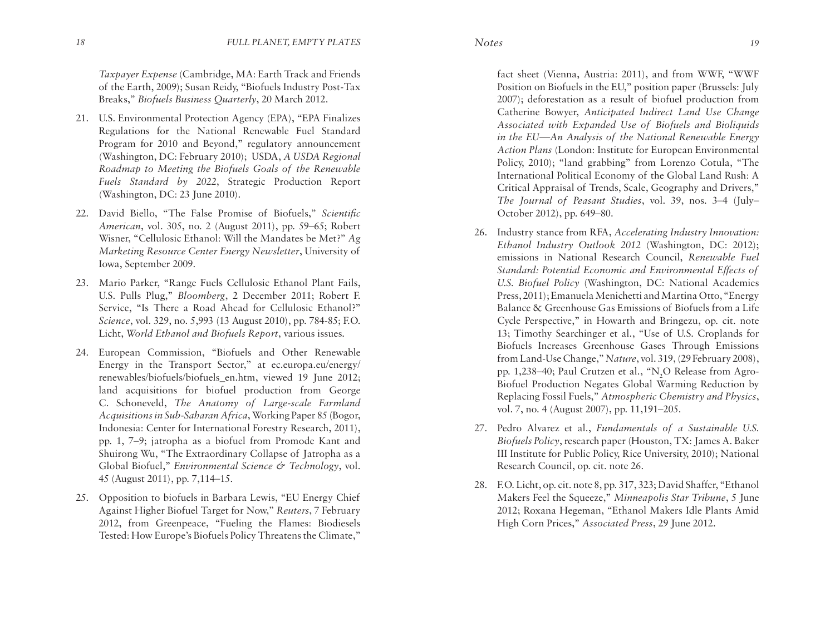*Taxpayer Expense* (Cambridge, MA: Earth Track and Friends of the Earth, 2009); Susan Reidy, "Biofuels Industry Post-Tax Breaks," *Biofuels Business Quarterly*, 20 March 2012.

- 21. U.S. Environmental Protection Agency (EPA), "EPA Finalizes Regulations for the National Renewable Fuel Standard Program for 2010 and Beyond," regulatory announcement (Washington, DC: February 2010); USDA, *A USDA Regional Roadmap to Meeting the Biofuels Goals of the Renewable Fuels Standard by 2022*, Strategic Production Report (Washington, DC: 23 June 2010).
- 22. David Biello, "The False Promise of Biofuels," *Scientific American*, vol. 305, no. 2 (August 2011), pp. 59–65; Robert Wisner, "Cellulosic Ethanol: Will the Mandates be Met?" *Ag Marketing Resource Center Energy Newsletter*, University of Iowa, September 2009.
- 23. Mario Parker, "Range Fuels Cellulosic Ethanol Plant Fails, U.S. Pulls Plug," *Bloomberg*, 2 December 2011; Robert F. Service, "Is There a Road Ahead for Cellulosic Ethanol?" *Science*, vol. 329, no. 5,993 (13 August 2010), pp. 784-85; F.O. Licht, *World Ethanol and Biofuels Report*, various issues.
- 24. European Commission, "Biofuels and Other Renewable Energy in the Transport Sector," at ec.europa.eu/energy/ renewables/biofuels/biofuels en.htm, viewed 19 June 2012; land acquisitions for biofuel production from George C. Schoneveld, *The Anatomy of Large-scale Farmland Acquisitions in Sub-Saharan Africa*, Working Paper 85 (Bogor, Indonesia: Center for International Forestry Research, 2011), pp. 1, 7–9; jatropha as a biofuel from Promode Kant and Shuirong Wu, "The Extraordinary Collapse of Jatropha as a Global Biofuel," *Environmental Science & Technology*, vol. 45 (August 2011), pp. 7,114–15.
- 25. Opposition to biofuels in Barbara Lewis, "EU Energy Chief Against Higher Biofuel Target for Now," *Reuters*, 7 February 2012, from Greenpeace, "Fueling the Flames: Biodiesels Tested: How Europe's Biofuels Policy Threatens the Climate,"

fact sheet (Vienna, Austria: 2011), and from WWF, "WWF Position on Biofuels in the EU," position paper (Brussels: July 2007); deforestation as a result of biofuel production from Catherine Bowyer, *Anticipated Indirect Land Use Change Associated with Expanded Use of Biofuels and Bioliquids in the EU—An Analysis of the National Renewable Energy Action Plans* (London: Institute for European Environmental Policy, 2010); "land grabbing" from Lorenzo Cotula, "The International Political Economy of the Global Land Rush: A Critical Appraisal of Trends, Scale, Geography and Drivers," *The Journal of Peasant Studies*, vol. 39, nos. 3–4 (July– October 2012), pp. 649–80.

- 26. Industry stance from RFA, *Accelerating Industry Innovation: Ethanol Industry Outlook 2012* (Washington, DC: 2012); emissions in National Research Council, *Renewable Fuel Standard: Potential Economic and Environmental Effects of U.S. Biofuel Policy* (Washington, DC: National Academies Press, 2011); Emanuela Menichetti and Martina Otto, "Energy Balance & Greenhouse Gas Emissions of Biofuels from a Life Cycle Perspective," in Howarth and Bringezu, op. cit. note 13; Timothy Searchinger et al., "Use of U.S. Croplands for Biofuels Increases Greenhouse Gases Through Emissions from Land-Use Change," *Nature*, vol. 319, (29 February 2008), pp. 1,238–40; Paul Crutzen et al., "N<sub>2</sub>O Release from Agro-Biofuel Production Negates Global Warming Reduction by Replacing Fossil Fuels," *Atmospheric Chemistry and Physics*, vol. 7, no. 4 (August 2007), pp. 11,191–205.
- 27. Pedro Alvarez et al., *Fundamentals of a Sustainable U.S. Biofuels Policy*, research paper (Houston, TX: James A. Baker III Institute for Public Policy, Rice University, 2010); National Research Council, op. cit. note 26.
- 28. F.O. Licht, op. cit. note 8, pp. 317, 323; David Shaffer, "Ethanol Makers Feel the Squeeze," *Minneapolis Star Tribune*, 5 June 2012; Roxana Hegeman, "Ethanol Makers Idle Plants Amid High Corn Prices," *Associated Press*, 29 June 2012.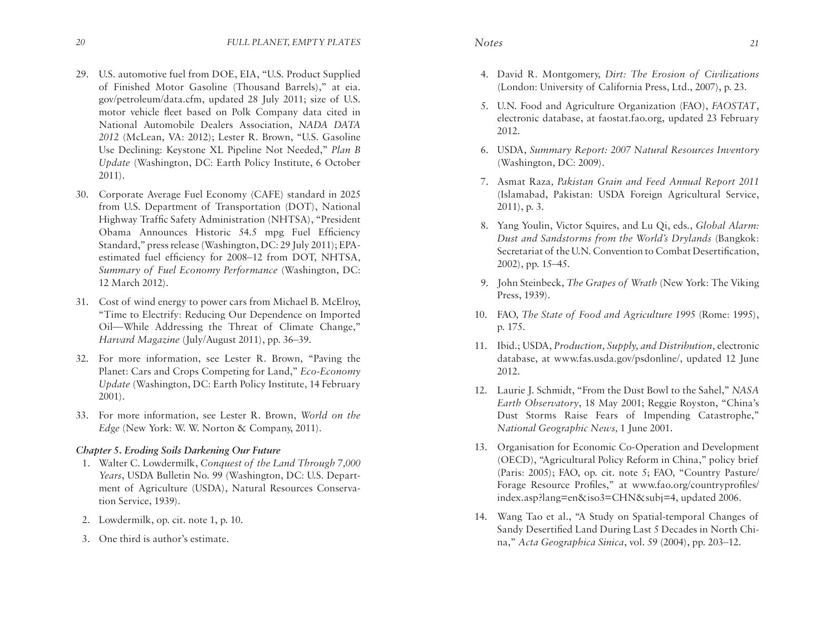- 29. U.S. automotive fuel from DOE, EIA, "U.S. Product Supplied of Finished Motor Gasoline (Thousand Barrels)," at eia. gov/petroleum/data.cfm, updated 28 July 2011; size of U.S. motor vehicle fleet based on Polk Company data cited in National Automobile Dealers Association, *NADA DATA 2012* (McLean, VA: 2012); Lester R. Brown, "U.S. Gasoline Use Declining: Keystone XL Pipeline Not Needed," *Plan B Update* (Washington, DC: Earth Policy Institute, 6 October 2011).
- 30. Corporate Average Fuel Economy (CAFE) standard in 2025 from U.S. Department of Transportation (DOT), National Highway Traffic Safety Administration (NHTSA), "President Obama Announces Historic 54.5 mpg Fuel Efficiency Standard," press release (Washington, DC: 29 July 2011); EPAestimated fuel efficiency for 2008–12 from DOT, NHTSA*, Summary of Fuel Economy Performance* (Washington, DC: 12 March 2012).
- 31. Cost of wind energy to power cars from Michael B. McElroy, "Time to Electrify: Reducing Our Dependence on Imported Oil—While Addressing the Threat of Climate Change," *Harvard Magazine* (July/August 2011), pp. 36–39.
- 32. For more information, see Lester R. Brown, "Paving the Planet: Cars and Crops Competing for Land," *Eco-Economy Update* (Washington, DC: Earth Policy Institute, 14 February 2001).
- 33. For more information, see Lester R. Brown, *World on the Edge* (New York: W. W. Norton & Company, 2011).

# *Chapter 5. Eroding Soils Darkening Our Future*

- 1. Walter C. Lowdermilk, *Conquest of the Land Through 7,000 Years*, USDA Bulletin No. 99 (Washington, DC: U.S. Department of Agriculture (USDA), Natural Resources Conservation Service, 1939).
- 2. Lowdermilk, op. cit. note 1, p. 10.
- 3. One third is author's estimate.

- 4. David R. Montgomery, *Dirt: The Erosion of Civilizations* (London: University of California Press, Ltd., 2007), p. 23.
- 5. U.N. Food and Agriculture Organization (FAO), *FAOSTAT*, electronic database, at faostat.fao.org, updated 23 February 2012.
- 6. USDA, *Summary Report: 2007 Natural Resources Inventory*  (Washington, DC: 2009).
- 7. Asmat Raza*, Pakistan Grain and Feed Annual Report 2011*  (Islamabad, Pakistan: USDA Foreign Agricultural Service, 2011), p. 3.
- 8. Yang Youlin, Victor Squires, and Lu Qi, eds., *Global Alarm: Dust and Sandstorms from the World's Drylands* (Bangkok: Secretariat of the U.N. Convention to Combat Desertification, 2002), pp. 15–45.
- 9. John Steinbeck, *The Grapes of Wrath* (New York: The Viking Press, 1939).
- 10. FAO, *The State of Food and Agriculture 1995* (Rome: 1995), p. 175.
- 11. Ibid.; USDA, *Production, Supply, and Distribution,* electronic database, at www.fas.usda.gov/psdonline/, updated 12 June 2012.
- 12. Laurie J. Schmidt, "From the Dust Bowl to the Sahel," *NASA Earth Observatory*, 18 May 2001; Reggie Royston, "China's Dust Storms Raise Fears of Impending Catastrophe," *National Geographic News,* 1 June 2001.
- 13. Organisation for Economic Co-Operation and Development (OECD), "Agricultural Policy Reform in China," policy brief (Paris: 2005); FAO, op. cit. note 5; FAO, "Country Pasture/ Forage Resource Profiles," at www.fao.org/countryprofiles/ index.asp?lang=en&iso3=CHN&subj=4, updated 2006*.*
- 14. Wang Tao et al., "A Study on Spatial-temporal Changes of Sandy Desertified Land During Last 5 Decades in North China," *Acta Geographica Sinica*, vol. 59 (2004), pp. 203–12.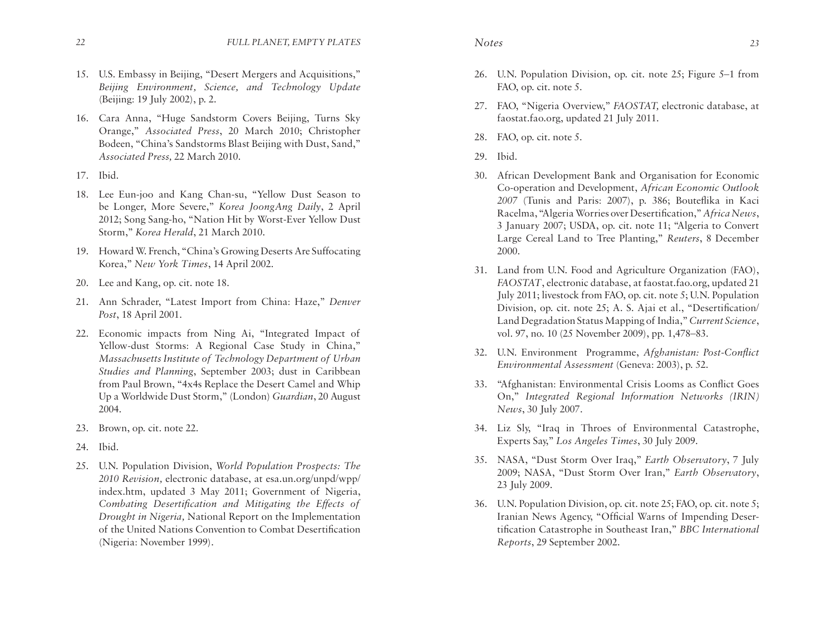- *22 FULL PLANET, EMPTY PLATES Notes 23*
- 15. U.S. Embassy in Beijing, "Desert Mergers and Acquisitions," *Beijing Environment, Science, and Technology Update* (Beijing: 19 July 2002), p. 2.
- 16. Cara Anna, "Huge Sandstorm Covers Beijing, Turns Sky Orange," *Associated Press*, 20 March 2010; Christopher Bodeen, "China's Sandstorms Blast Beijing with Dust, Sand," *Associated Press,* 22 March 2010.
- 17. Ibid.
- 18. Lee Eun-joo and Kang Chan-su, "Yellow Dust Season to be Longer, More Severe," *Korea JoongAng Daily*, 2 April 2012; Song Sang-ho, "Nation Hit by Worst-Ever Yellow Dust Storm," *Korea Herald*, 21 March 2010.
- 19. Howard W. French, "China's Growing Deserts Are Suffocating Korea," *New York Times*, 14 April 2002.
- 20. Lee and Kang, op. cit. note 18.
- 21. Ann Schrader, "Latest Import from China: Haze," *Denver Post*, 18 April 2001.
- 22. Economic impacts from Ning Ai, "Integrated Impact of Yellow-dust Storms: A Regional Case Study in China," *Massachusetts Institute of Technology Department of Urban Studies and Planning*, September 2003; dust in Caribbean from Paul Brown, "4x4s Replace the Desert Camel and Whip Up a Worldwide Dust Storm," (London) *Guardian*, 20 August 2004.
- 23. Brown, op. cit. note 22.
- 24. Ibid.
- 25. U.N. Population Division, *World Population Prospects: The 2010 Revision,* electronic database, at esa.un.org/unpd/wpp/ index.htm, updated 3 May 2011; Government of Nigeria, *Combating Desertification and Mitigating the Effects of Drought in Nigeria,* National Report on the Implementation of the United Nations Convention to Combat Desertification (Nigeria: November 1999).
- 
- 26. U.N. Population Division, op. cit. note 25; Figure 5–1 from FAO, op. cit. note 5.
- 27. FAO, "Nigeria Overview," *FAOSTAT,* electronic database, at faostat.fao.org, updated 21 July 2011.
- 28. FAO, op. cit. note 5.
- 29. Ibid.
- 30. African Development Bank and Organisation for Economic Co-operation and Development, *African Economic Outlook 2007* (Tunis and Paris: 2007), p. 386; Bouteflika in Kaci Racelma, "Algeria Worries over Desertification," *Africa News*, 3 January 2007; USDA, op. cit. note 11; "Algeria to Convert Large Cereal Land to Tree Planting," *Reuters*, 8 December 2000.
- 31. Land from U.N. Food and Agriculture Organization (FAO), *FAOSTAT*, electronic database, at faostat.fao.org, updated 21 July 2011; livestock from FAO, op. cit. note 5; U.N. Population Division, op. cit. note 25; A. S. Ajai et al., "Desertification/ Land Degradation Status Mapping of India," *Current Science*, vol. 97, no. 10 (25 November 2009), pp. 1,478–83.
- 32. U.N. Environment Programme, *Afghanistan: Post-Conflict Environmental Assessment* (Geneva: 2003), p. 52.
- 33. "Afghanistan: Environmental Crisis Looms as Conflict Goes On," *Integrated Regional Information Networks (IRIN) News*, 30 July 2007.
- 34. Liz Sly, "Iraq in Throes of Environmental Catastrophe, Experts Say," *Los Angeles Times*, 30 July 2009.
- 35. NASA, "Dust Storm Over Iraq," *Earth Observatory*, 7 July 2009; NASA, "Dust Storm Over Iran," *Earth Observatory*, 23 July 2009.
- 36. U.N. Population Division, op. cit. note 25; FAO, op. cit. note 5; Iranian News Agency, "Official Warns of Impending Desertification Catastrophe in Southeast Iran," *BBC International Reports*, 29 September 2002.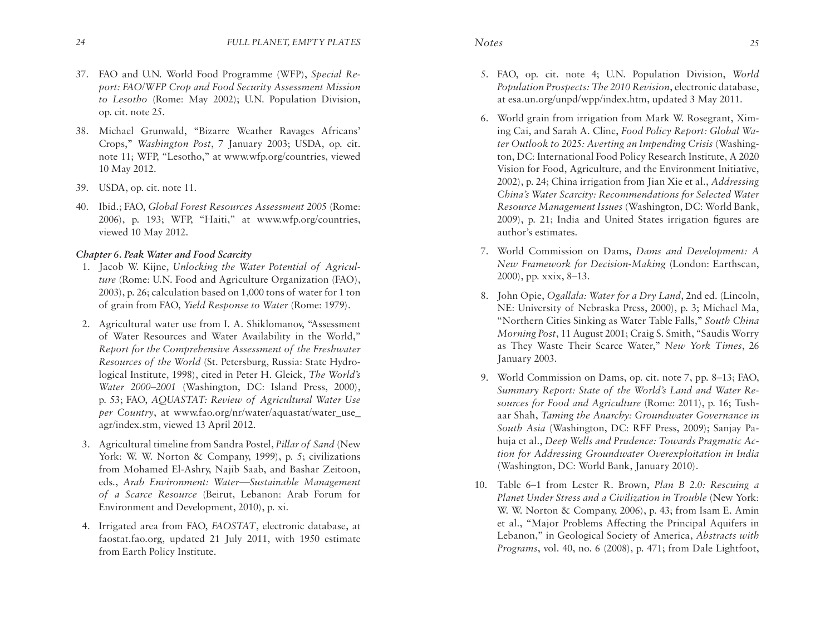- 37. FAO and U.N. World Food Programme (WFP), *Special Report: FAO/WFP Crop and Food Security Assessment Mission to Lesotho* (Rome: May 2002); U.N. Population Division, op. cit. note 25.
- 38. Michael Grunwald, "Bizarre Weather Ravages Africans' Crops," *Washington Post*, 7 January 2003; USDA, op. cit. note 11; WFP, "Lesotho," at www.wfp.org/countries, viewed 10 May 2012.
- 39. USDA, op. cit. note 11.
- 40. Ibid.; FAO, *Global Forest Resources Assessment 2005* (Rome: 2006), p. 193; WFP, "Haiti," at www.wfp.org/countries, viewed 10 May 2012.

# *Chapter 6. Peak Water and Food Scarcity*

- 1.Jacob W. Kijne, *Unlocking the Water Potential of Agriculture* (Rome: U.N. Food and Agriculture Organization (FAO), 2003), p. 26; calculation based on 1,000 tons of water for 1 ton of grain from FAO, *Yield Response to Water* (Rome: 1979).
- 2. Agricultural water use from I. A. Shiklomanov, "Assessment of Water Resources and Water Availability in the World," *Report for the Comprehensive Assessment of the Freshwater Resources of the World* (St. Petersburg, Russia: State Hydrological Institute, 1998), cited in Peter H. Gleick, *The World's Water 2000–2001* (Washington, DC: Island Press, 2000), p. 53; FAO, *AQUASTAT: Review of Agricultural Water Use per Country*, at www.fao.org/nr/water/aquastat/water use agr/index.stm, viewed 13 April 2012.
- 3. Agricultural timeline from Sandra Postel, *Pillar of Sand* (New York: W. W. Norton & Company, 1999), p. 5; civilizations from Mohamed El-Ashry, Najib Saab, and Bashar Zeitoon, eds., *Arab Environment: Water—Sustainable Management of a Scarce Resource* (Beirut, Lebanon: Arab Forum for Environment and Development, 2010), p. xi.
- 4. Irrigated area from FAO, *FAOSTAT*, electronic database, at faostat.fao.org, updated 21 July 2011, with 1950 estimate from Earth Policy Institute.
- 5. FAO, op. cit. note 4; U.N. Population Division, *World Population Prospects: The 2010 Revision*, electronic database, at esa.un.org/unpd/wpp/index.htm, updated 3 May 2011.
- 6. World grain from irrigation from Mark W. Rosegrant, Ximing Cai, and Sarah A. Cline, *Food Policy Report: Global Water Outlook to 2025: Averting an Impending Crisis* (Washington, DC: International Food Policy Research Institute, A 2020 Vision for Food, Agriculture, and the Environment Initiative, 2002), p. 24; China irrigation from Jian Xie et al., *Addressing China's Water Scarcity: Recommendations for Selected Water Resource Management Issues* (Washington, DC: World Bank, 2009), p. 21; India and United States irrigation figures are author's estimates.
- 7. World Commission on Dams, *Dams and Development: A New Framework for Decision-Making* (London: Earthscan, 2000), pp. xxix, 8–13.
- 8. John Opie, *Ogallala: Water for a Dry Land*, 2nd ed. (Lincoln, NE: University of Nebraska Press, 2000), p. 3; Michael Ma, "Northern Cities Sinking as Water Table Falls," *South China Morning Post*, 11 August 2001; Craig S. Smith, "Saudis Worry as They Waste Their Scarce Water," *New York Times*, 26 January 2003.
- 9. World Commission on Dams, op. cit. note 7, pp. 8–13; FAO, *Summary Report: State of the World's Land and Water Resources for Food and Agriculture* (Rome: 2011), p. 16; Tushaar Shah, *Taming the Anarchy: Groundwater Governance in South Asia* (Washington, DC: RFF Press, 2009); Sanjay Pahuja et al., *Deep Wells and Prudence: Towards Pragmatic Action for Addressing Groundwater Overexploitation in India*  (Washington, DC: World Bank, January 2010).
- 10. Table 6–1 from Lester R. Brown, *Plan B 2.0: Rescuing a Planet Under Stress and a Civilization in Trouble* (New York: W. W. Norton & Company, 2006), p. 43; from Isam E. Amin et al., "Major Problems Affecting the Principal Aquifers in Lebanon," in Geological Society of America, *Abstracts with Programs*, vol. 40, no. 6 (2008), p. 471; from Dale Lightfoot,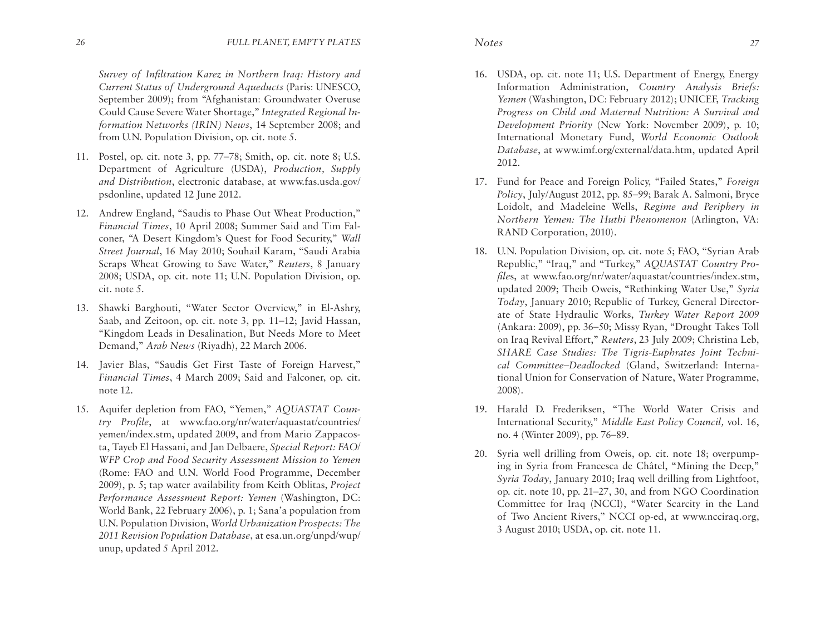*Survey of Infiltration Karez in Northern Iraq: History and Current Status of Underground Aqueducts* (Paris: UNESCO, September 2009); from "Afghanistan: Groundwater Overuse Could Cause Severe Water Shortage," *Integrated Regional Information Networks (IRIN) News*, 14 September 2008; and from U.N. Population Division, op. cit. note 5.

- 11. Postel, op. cit. note 3, pp. 77–78; Smith, op. cit. note 8; U.S. Department of Agriculture (USDA), *Production, Supply and Distribution*, electronic database, at www.fas.usda.gov/ psdonline, updated 12 June 2012.
- 12. Andrew England, "Saudis to Phase Out Wheat Production," *Financial Times*, 10 April 2008; Summer Said and Tim Falconer, "A Desert Kingdom's Quest for Food Security," *Wall Street Journal*, 16 May 2010; Souhail Karam, "Saudi Arabia Scraps Wheat Growing to Save Water," *Reuters*, 8 January 2008; USDA, op. cit. note 11; U.N. Population Division, op. cit. note 5.
- 13. Shawki Barghouti, "Water Sector Overview," in El-Ashry, Saab, and Zeitoon, op. cit. note 3, pp. 11–12; Javid Hassan, "Kingdom Leads in Desalination, But Needs More to Meet Demand," *Arab News* (Riyadh), 22 March 2006.
- 14. Javier Blas, "Saudis Get First Taste of Foreign Harvest," *Financial Times*, 4 March 2009; Said and Falconer, op. cit. note 12.
- 15. Aquifer depletion from FAO, "Yemen," *AQUASTAT Country Profile*, at www.fao.org/nr/water/aquastat/countries/ yemen/index.stm, updated 2009, and from Mario Zappacosta, Tayeb El Hassani, and Jan Delbaere, *Special Report: FAO/ WFP Crop and Food Security Assessment Mission to Yemen*  (Rome: FAO and U.N. World Food Programme, December 2009), p. 5; tap water availability from Keith Oblitas, *Project Performance Assessment Report: Yemen* (Washington, DC: World Bank, 22 February 2006), p. 1; Sana'a population from U.N. Population Division, *World Urbanization Prospects: The 2011 Revision Population Database*, at esa.un.org/unpd/wup/ unup, updated 5 April 2012.
- 16. USDA, op. cit. note 11; U.S. Department of Energy, Energy Information Administration, *Country Analysis Briefs: Yemen* (Washington, DC: February 2012); UNICEF, *Tracking Progress on Child and Maternal Nutrition: A Survival and Development Priority* (New York: November 2009), p. 10; International Monetary Fund, *World Economic Outlook Database*, at www.imf.org/external/data.htm, updated April 2012.
- 17. Fund for Peace and Foreign Policy, "Failed States," *Foreign Policy*, July/August 2012, pp. 85–99; Barak A. Salmoni, Bryce Loidolt, and Madeleine Wells, *Regime and Periphery in Northern Yemen: The Huthi Phenomenon* (Arlington, VA: RAND Corporation, 2010).
- 18. U.N. Population Division, op. cit. note 5; FAO, "Syrian Arab Republic," "Iraq," and "Turkey," *AQUASTAT Country Profile*s, at www.fao.org/nr/water/aquastat/countries/index.stm, updated 2009; Theib Oweis, "Rethinking Water Use," *Syria Today*, January 2010; Republic of Turkey, General Directorate of State Hydraulic Works, *Turkey Water Report 2009*  (Ankara: 2009), pp. 36–50; Missy Ryan, "Drought Takes Toll on Iraq Revival Effort," *Reuters*, 23 July 2009; Christina Leb, *SHARE Case Studies: The Tigris-Euphrates Joint Technical Committee–Deadlocked* (Gland, Switzerland: International Union for Conservation of Nature, Water Programme, 2008).
- 19. Harald D. Frederiksen, "The World Water Crisis and International Security," *Middle East Policy Council,* vol. 16, no. 4 (Winter 2009), pp. 76–89.
- 20. Syria well drilling from Oweis, op. cit. note 18; overpumping in Syria from Francesca de Châtel, "Mining the Deep," *Syria Today*, January 2010; Iraq well drilling from Lightfoot, op. cit. note 10, pp. 21–27, 30, and from NGO Coordination Committee for Iraq (NCCI), "Water Scarcity in the Land of Two Ancient Rivers," NCCI op-ed, at www.ncciraq.org, 3 August 2010; USDA, op. cit. note 11.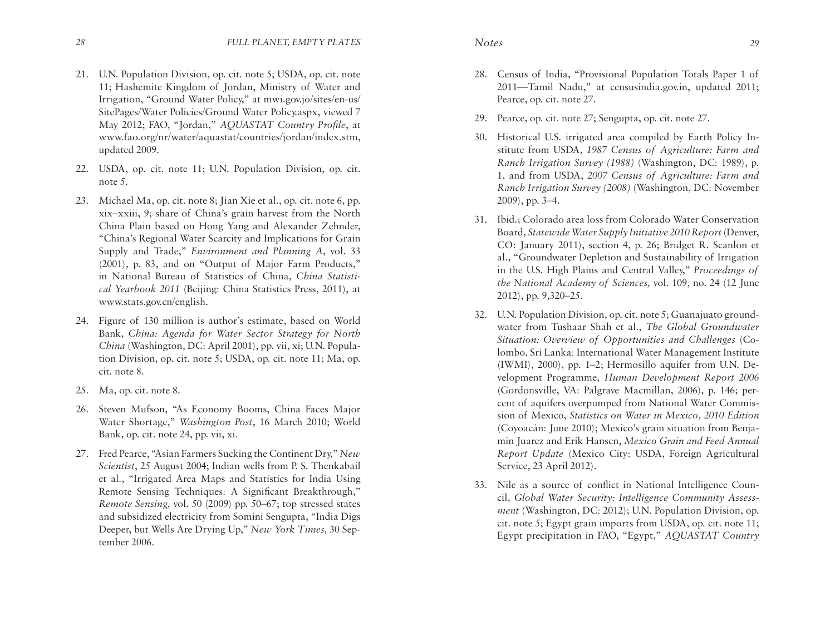- 21. U.N. Population Division, op. cit. note 5; USDA, op. cit. note 11; Hashemite Kingdom of Jordan, Ministry of Water and Irrigation, "Ground Water Policy," at mwi.gov.jo/sites/en-us/ SitePages/Water Policies/Ground Water Policy.aspx, viewed 7 May 2012; FAO, "Jordan," *AQUASTAT Country Profile*, at www.fao.org/nr/water/aquastat/countries/jordan/index.stm, updated 2009.
- 22. USDA, op. cit. note 11; U.N. Population Division, op. cit. note 5.
- 23. Michael Ma, op. cit. note 8; Jian Xie et al., op. cit. note 6, pp. xix–xxiii, 9; share of China's grain harvest from the North China Plain based on Hong Yang and Alexander Zehnder, "China's Regional Water Scarcity and Implications for Grain Supply and Trade," *Environment and Planning A*, vol. 33 (2001), p. 83, and on "Output of Major Farm Products," in National Bureau of Statistics of China, *China Statistical Yearbook 2011* (Beijing: China Statistics Press, 2011), at www.stats.gov.cn/english.
- 24. Figure of 130 million is author's estimate, based on World Bank, *China: Agenda for Water Sector Strategy for North China* (Washington, DC: April 2001), pp. vii, xi; U.N. Population Division, op. cit. note 5; USDA, op. cit. note 11; Ma, op. cit. note 8.
- 25. Ma, op. cit. note 8.
- 26. Steven Mufson, "As Economy Booms, China Faces Major Water Shortage," *Washington Post*, 16 March 2010; World Bank, op. cit. note 24, pp. vii, xi.
- 27. Fred Pearce, "Asian Farmers Sucking the Continent Dry," *New Scientist*, 25 August 2004; Indian wells from P. S. Thenkabail et al., "Irrigated Area Maps and Statistics for India Using Remote Sensing Techniques: A Significant Breakthrough," *Remote Sensing,* vol. 50 (2009) pp. 50–67; top stressed states and subsidized electricity from Somini Sengupta, "India Digs Deeper, but Wells Are Drying Up," *New York Times,* 30 September 2006.
- 28. Census of India, "Provisional Population Totals Paper 1 of 2011—Tamil Nadu," at censusindia.gov.in, updated 2011; Pearce, op. cit. note 27.
- 29. Pearce, op. cit. note 27; Sengupta, op. cit. note 27.
- 30. Historical U.S. irrigated area compiled by Earth Policy Institute from USDA, *1987 Census of Agriculture: Farm and Ranch Irrigation Survey (1988)* (Washington, DC: 1989), p. 1, and from USDA, *2007 Census of Agriculture: Farm and Ranch Irrigation Survey (2008)* (Washington, DC: November 2009), pp. 3–4.
- 31. Ibid.; Colorado area loss from Colorado Water Conservation Board, *Statewide Water Supply Initiative 2010 Report* (Denver, CO: January 2011), section 4, p. 26; Bridget R. Scanlon et al., "Groundwater Depletion and Sustainability of Irrigation in the U.S. High Plains and Central Valley," *Proceedings of the National Academy of Sciences,* vol. 109, no. 24 (12 June 2012), pp. 9,320–25.
- 32. U.N. Population Division, op. cit. note 5; Guanajuato groundwater from Tushaar Shah et al., *The Global Groundwater Situation: Overview of Opportunities and Challenges* (Colombo, Sri Lanka: International Water Management Institute (IWMI), 2000), pp. 1–2; Hermosillo aquifer from U.N. Development Programme, *Human Development Report 2006* (Gordonsville, VA: Palgrave Macmillan, 2006), p. 146; percent of aquifers overpumped from National Water Commission of Mexico, *Statistics on Water in Mexico, 2010 Edition*  (Coyoacán: June 2010); Mexico's grain situation from Benjamin Juarez and Erik Hansen, *Mexico Grain and Feed Annual Report Update* (Mexico City: USDA, Foreign Agricultural Service, 23 April 2012).
- 33. Nile as a source of conflict in National Intelligence Council, *Global Water Security: Intelligence Community Assessment* (Washington, DC: 2012); U.N. Population Division, op. cit. note 5; Egypt grain imports from USDA, op. cit. note 11; Egypt precipitation in FAO, "Egypt," *AQUASTAT Country*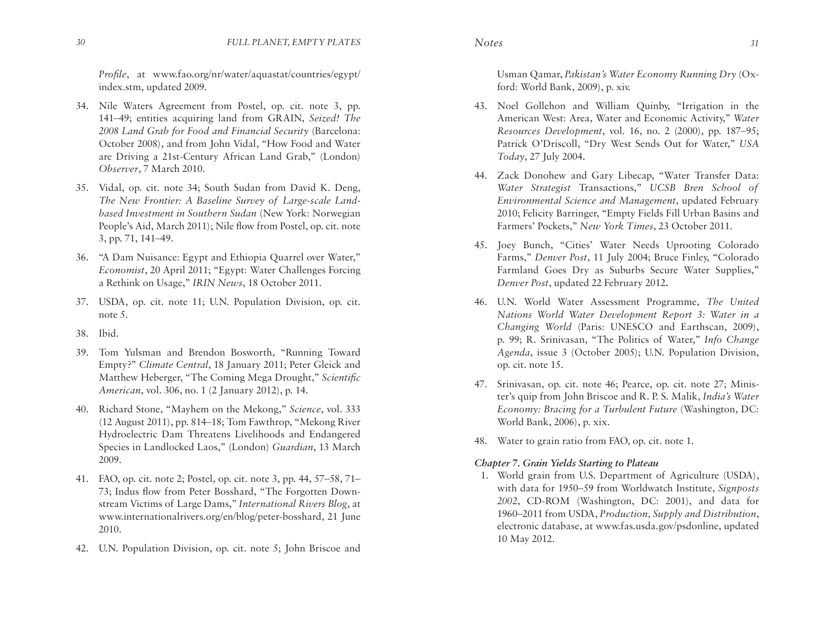*Profile*, at www.fao.org/nr/water/aquastat/countries/egypt/ index.stm, updated 2009.

- 34. Nile Waters Agreement from Postel, op. cit. note 3, pp. 141–49; entities acquiring land from GRAIN, *Seized! The 2008 Land Grab for Food and Financial Security* (Barcelona: October 2008), and from John Vidal, "How Food and Water are Driving a 21st-Century African Land Grab," (London) *Observer*, 7 March 2010.
- 35. Vidal, op. cit. note 34; South Sudan from David K. Deng, *The New Frontier: A Baseline Survey of Large-scale Landbased Investment in Southern Sudan* (New York: Norwegian People's Aid, March 2011); Nile flow from Postel, op. cit. note 3, pp. 71, 141–49.
- 36. "A Dam Nuisance: Egypt and Ethiopia Quarrel over Water," *Economist*, 20 April 2011; "Egypt: Water Challenges Forcing a Rethink on Usage," *IRIN News*, 18 October 2011.
- 37. USDA, op. cit. note 11; U.N. Population Division, op. cit. note 5.
- 38. Ibid.
- 39. Tom Yulsman and Brendon Bosworth, "Running Toward Empty?" *Climate Central*, 18 January 2011; Peter Gleick and Matthew Heberger, "The Coming Mega Drought," *Scientific American*, vol. 306, no. 1 (2 January 2012), p. 14.
- 40. Richard Stone, "Mayhem on the Mekong," *Science*, vol. 333 (12 August 2011), pp. 814–18; Tom Fawthrop, "Mekong River Hydroelectric Dam Threatens Livelihoods and Endangered Species in Landlocked Laos," (London) *Guardian*, 13 March 2009.
- 41. FAO, op. cit. note 2; Postel, op. cit. note 3, pp. 44, 57–58, 71– 73; Indus flow from Peter Bosshard, "The Forgotten Downstream Victims of Large Dams," *International Rivers Blog*, at www.internationalrivers.org/en/blog/peter-bosshard, 21 June 2010.
- 42. U.N. Population Division, op. cit. note 5; John Briscoe and

Usman Qamar, *Pakistan's Water Economy Running Dry* (Oxford: World Bank, 2009), p. xiv.

- 43. Noel Gollehon and William Quinby, "Irrigation in the American West: Area, Water and Economic Activity," *Water Resources Development*, vol. 16, no. 2 (2000), pp. 187–95; Patrick O'Driscoll, "Dry West Sends Out for Water," *USA Today*, 27 July 2004.
- 44. Zack Donohew and Gary Libecap, "Water Transfer Data: *Water Strategist* Transactions," *UCSB Bren School of Environmental Science and Management*, updated February 2010; Felicity Barringer, "Empty Fields Fill Urban Basins and Farmers' Pockets," *New York Times*, 23 October 2011.
- 45. Joey Bunch, "Cities' Water Needs Uprooting Colorado Farms," *Denver Post*, 11 July 2004; Bruce Finley, "Colorado Farmland Goes Dry as Suburbs Secure Water Supplies," *Denver Post*, updated 22 February 2012**.**
- 46. U.N. World Water Assessment Programme, *The United Nations World Water Development Report 3: Water in a Changing World* (Paris: UNESCO and Earthscan, 2009), p. 99; R. Srinivasan, "The Politics of Water," *Info Change Agenda*, issue 3 (October 2005); U.N. Population Division, op. cit. note 15.
- 47. Srinivasan, op. cit. note 46; Pearce, op. cit. note 27; Minister's quip from John Briscoe and R. P. S. Malik, *India's Water Economy: Bracing for a Turbulent Future* (Washington, DC: World Bank, 2006), p. xix.
- 48. Water to grain ratio from FAO, op. cit. note 1.

# *Chapter 7. Grain Yields Starting to Plateau*

1. World grain from U.S. Department of Agriculture (USDA), with data for 1950–59 from Worldwatch Institute, *Signposts 2002*, CD-ROM (Washington, DC: 2001), and data for 1960–2011 from USDA, *Production, Supply and Distribution*, electronic database, at www.fas.usda.gov/psdonline, updated 10 May 2012.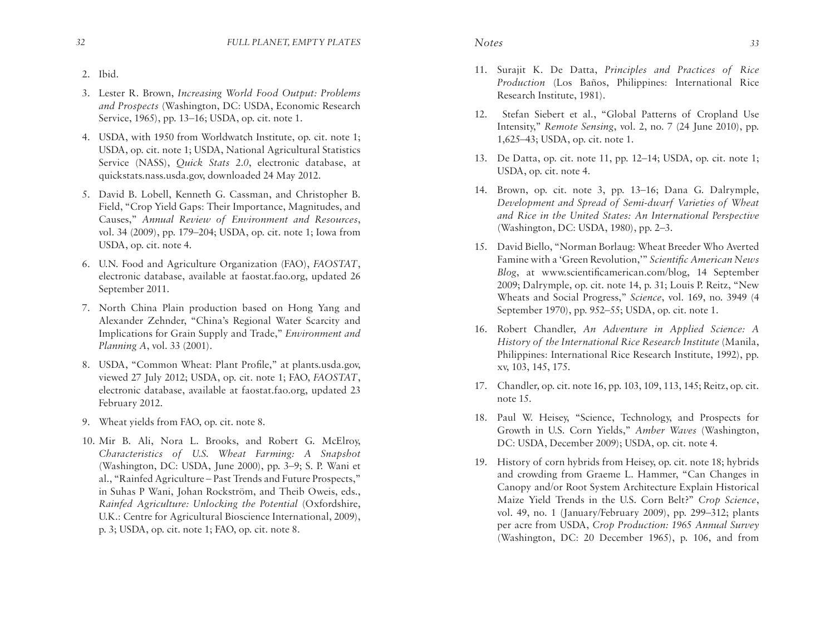- 
- 3. Lester R. Brown, *Increasing World Food Output: Problems and Prospects* (Washington, DC: USDA, Economic Research Service, 1965), pp. 13–16; USDA, op. cit. note 1.
- 4. USDA, with 1950 from Worldwatch Institute, op. cit. note 1; USDA, op. cit. note 1; USDA, National Agricultural Statistics Service (NASS), *Quick Stats 2.0*, electronic database, at quickstats.nass.usda.gov, downloaded 24 May 2012.
- 5. David B. Lobell, Kenneth G. Cassman, and Christopher B. Field, "Crop Yield Gaps: Their Importance, Magnitudes, and Causes," *Annual Review of Environment and Resources*, vol. 34 (2009), pp. 179–204; USDA, op. cit. note 1; Iowa from USDA, op. cit. note 4.
- 6. U.N. Food and Agriculture Organization (FAO), *FAOSTAT*, electronic database, available at faostat.fao.org, updated 26 September 2011.
- 7. North China Plain production based on Hong Yang and Alexander Zehnder, "China's Regional Water Scarcity and Implications for Grain Supply and Trade," *Environment and Planning A*, vol. 33 (2001).
- 8. USDA, "Common Wheat: Plant Profile," at plants.usda.gov, viewed 27 July 2012; USDA, op. cit. note 1; FAO, *FAOSTAT*, electronic database, available at faostat.fao.org, updated 23 February 2012.
- 9. Wheat yields from FAO, op. cit. note 8.
- 10.Mir B. Ali, Nora L. Brooks, and Robert G. McElroy, *Characteristics of U.S. Wheat Farming: A Snapshot* (Washington, DC: USDA, June 2000), pp. 3–9; S. P. Wani et al., "Rainfed Agriculture – Past Trends and Future Prospects," in Suhas P Wani, Johan Rockström, and Theib Oweis, eds., *Rainfed Agriculture: Unlocking the Potential* (Oxfordshire, U.K.: Centre for Agricultural Bioscience International, 2009), p. 3; USDA, op. cit. note 1; FAO, op. cit. note 8.
- 11. Surajit K. De Datta, *Principles and Practices of Rice Production* (Los Baños, Philippines: International Rice Research Institute, 1981).
- 12. Stefan Siebert et al., "Global Patterns of Cropland Use Intensity," *Remote Sensing*, vol. 2, no. 7 (24 June 2010), pp. 1,625–43; USDA, op. cit. note 1.
- 13. De Datta, op. cit. note 11, pp. 12–14; USDA, op. cit. note 1; USDA, op. cit. note 4.
- 14. Brown, op. cit. note 3, pp. 13–16; Dana G. Dalrymple, *Development and Spread of Semi-dwarf Varieties of Wheat and Rice in the United States: An International Perspective* (Washington, DC: USDA, 1980), pp. 2–3.
- 15. David Biello, "Norman Borlaug: Wheat Breeder Who Averted Famine with a 'Green Revolution,'" *Scientific American News Blog*, at www.scientificamerican.com/blog, 14 September 2009; Dalrymple, op. cit. note 14, p. 31; Louis P. Reitz, "New Wheats and Social Progress," *Science*, vol. 169, no. 3949 (4 September 1970), pp. 952–55; USDA, op. cit. note 1.
- 16. Robert Chandler, *An Adventure in Applied Science: A History of the International Rice Research Institute* (Manila, Philippines: International Rice Research Institute, 1992), pp. xv, 103, 145, 175.
- 17. Chandler, op. cit. note 16, pp. 103, 109, 113, 145; Reitz, op. cit. note 15.
- 18. Paul W. Heisey, "Science, Technology, and Prospects for Growth in U.S. Corn Yields," *Amber Waves* (Washington, DC: USDA, December 2009); USDA, op. cit. note 4.
- 19. History of corn hybrids from Heisey, op. cit. note 18; hybrids and crowding from Graeme L. Hammer, "Can Changes in Canopy and/or Root System Architecture Explain Historical Maize Yield Trends in the U.S. Corn Belt?" *Crop Science*, vol. 49, no. 1 (January/February 2009), pp. 299–312; plants per acre from USDA, *Crop Production: 1965 Annual Survey* (Washington, DC: 20 December 1965), p. 106, and from

2. Ibid.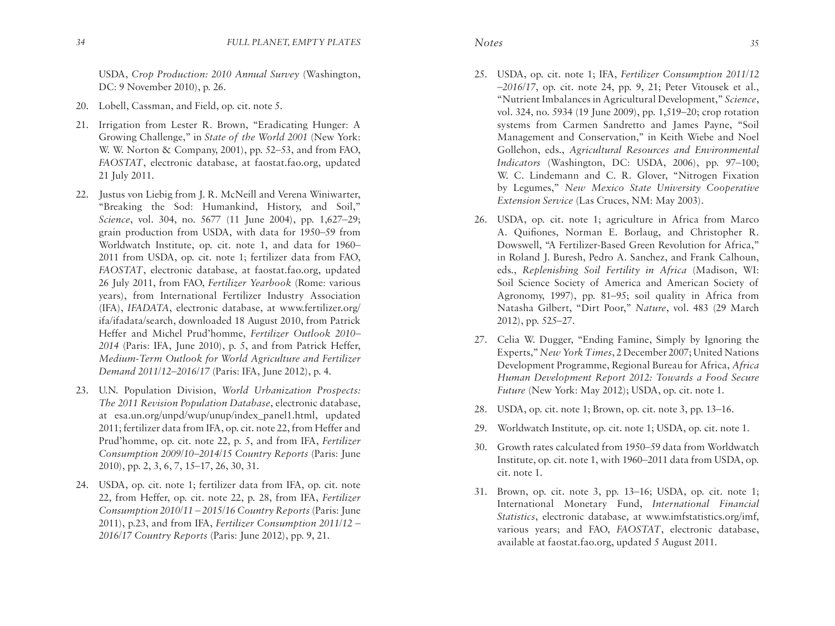USDA, *Crop Production: 2010 Annual Survey* (Washington, DC: 9 November 2010), p. 26.

- 20. Lobell, Cassman, and Field, op. cit. note 5.
- 21. Irrigation from Lester R. Brown, "Eradicating Hunger: A Growing Challenge," in *State of the World 2001* (New York: W. W. Norton & Company, 2001), pp. 52–53, and from FAO, *FAOSTAT*, electronic database, at faostat.fao.org, updated 21 July 2011.
- 22. Justus von Liebig from J. R. McNeill and Verena Winiwarter, "Breaking the Sod: Humankind, History, and Soil," *Science*, vol. 304, no. 5677 (11 June 2004), pp. 1,627–29; grain production from USDA, with data for 1950–59 from Worldwatch Institute, op. cit. note 1, and data for 1960– 2011 from USDA, op. cit. note 1; fertilizer data from FAO, *FAOSTAT*, electronic database, at faostat.fao.org, updated 26 July 2011, from FAO, *Fertilizer Yearbook* (Rome: various years), from International Fertilizer Industry Association (IFA), *IFADATA*, electronic database, at www.fertilizer.org/ ifa/ifadata/search, downloaded 18 August 2010, from Patrick Heffer and Michel Prud'homme, *Fertilizer Outlook 2010– 2014* (Paris: IFA, June 2010), p. 5, and from Patrick Heffer, *Medium-Term Outlook for World Agriculture and Fertilizer Demand 2011/12–2016/17* (Paris: IFA, June 2012), p. 4.
- 23. U.N. Population Division, *World Urbanization Prospects: The 2011 Revision Population Database*, electronic database, at esa.un.org/unpd/wup/unup/index\_panel1.html, updated 2011; fertilizer data from IFA, op. cit. note 22, from Heffer and Prud'homme, op. cit. note 22, p. 5, and from IFA, *Fertilizer Consumption 2009/10–2014/15 Country Reports* (Paris: June 2010), pp. 2, 3, 6, 7, 15–17, 26, 30, 31.
- 24. USDA, op. cit. note 1; fertilizer data from IFA, op. cit. note 22, from Heffer, op. cit. note 22, p. 28, from IFA, *Fertilizer Consumption 2010/11 – 2015/16 Country Reports* (Paris: June 2011), p.23, and from IFA, *Fertilizer Consumption 2011/12 – 2016/17 Country Reports* (Paris: June 2012), pp. 9, 21.
- 25. USDA, op. cit. note 1; IFA, *Fertilizer Consumption 2011/12 –2016/17*, op. cit. note 24, pp. 9, 21; Peter Vitousek et al., "Nutrient Imbalances in Agricultural Development," *Science*, vol. 324, no. 5934 (19 June 2009), pp. 1,519–20; crop rotation systems from Carmen Sandretto and James Payne, "Soil Management and Conservation," in Keith Wiebe and Noel Gollehon, eds., *Agricultural Resources and Environmental Indicators* (Washington, DC: USDA, 2006), pp. 97–100; W. C. Lindemann and C. R. Glover, "Nitrogen Fixation by Legumes," *New Mexico State University Cooperative Extension Service* (Las Cruces, NM: May 2003).
- 26. USDA, op. cit. note 1; agriculture in Africa from Marco A. Quifiones, Norman E. Borlaug, and Christopher R. Dowswell, "A Fertilizer-Based Green Revolution for Africa," in Roland J. Buresh, Pedro A. Sanchez, and Frank Calhoun, eds., *Replenishing Soil Fertility in Africa* (Madison, WI: Soil Science Society of America and American Society of Agronomy, 1997), pp. 81–95; soil quality in Africa from Natasha Gilbert, "Dirt Poor," *Nature*, vol. 483 (29 March 2012), pp. 525–27.
- 27. Celia W. Dugger, "Ending Famine, Simply by Ignoring the Experts," *New York Times*, 2 December 2007; United Nations Development Programme, Regional Bureau for Africa, *Africa Human Development Report 2012: Towards a Food Secure Future* (New York: May 2012); USDA, op. cit. note 1.
- 28. USDA, op. cit. note 1; Brown, op. cit. note 3, pp. 13–16.
- 29. Worldwatch Institute, op. cit. note 1; USDA, op. cit. note 1.
- 30. Growth rates calculated from 1950–59 data from Worldwatch Institute, op. cit. note 1, with 1960–2011 data from USDA, op. cit. note 1.
- 31. Brown, op. cit. note 3, pp. 13–16; USDA, op. cit. note 1; International Monetary Fund, *International Financial Statistics*, electronic database, at www.imfstatistics.org/imf, various years; and FAO, *FAOSTAT*, electronic database, available at faostat.fao.org, updated 5 August 2011.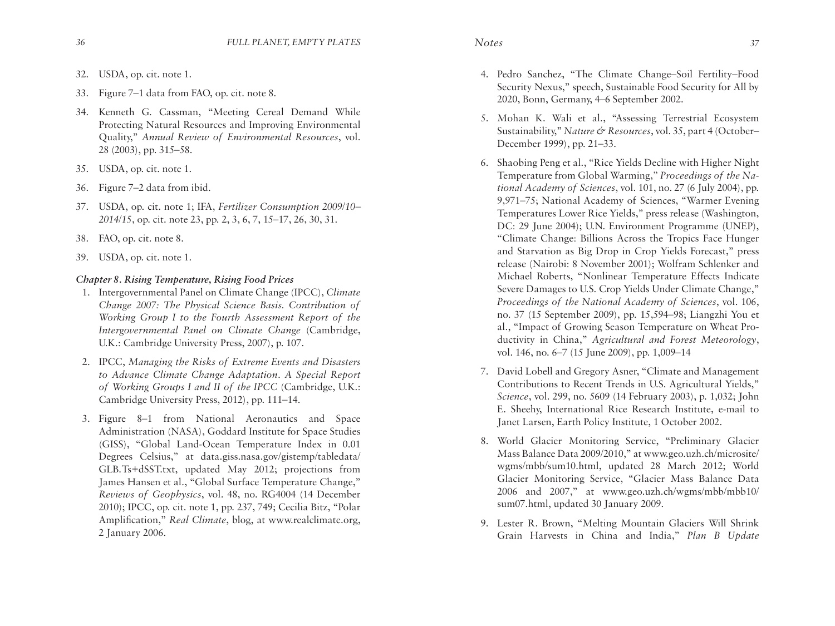- 32. USDA, op. cit. note 1.
- 33. Figure 7–1 data from FAO, op. cit. note 8.
- 34. Kenneth G. Cassman, "Meeting Cereal Demand While Protecting Natural Resources and Improving Environmental Quality," *Annual Review of Environmental Resources*, vol. 28 (2003), pp. 315–58.
- 35. USDA, op. cit. note 1.
- 36. Figure 7–2 data from ibid.
- 37. USDA, op. cit. note 1; IFA, *Fertilizer Consumption 2009/10– 2014/15*, op. cit. note 23, pp. 2, 3, 6, 7, 15–17, 26, 30, 31.
- 38. FAO, op. cit. note 8.
- 39. USDA, op. cit. note 1.

# *Chapter 8. Rising Temperature, Rising Food Prices*

- 1. Intergovernmental Panel on Climate Change (IPCC), *Climate Change 2007: The Physical Science Basis. Contribution of Working Group I to the Fourth Assessment Report of the Intergovernmental Panel on Climate Change* (Cambridge, U.K.: Cambridge University Press, 2007), p. 107.
- 2. IPCC, *Managing the Risks of Extreme Events and Disasters to Advance Climate Change Adaptation. A Special Report of Working Groups I and II of the IPCC* (Cambridge, U.K.: Cambridge University Press, 2012), pp. 111–14.
- 3. Figure 8–1 from National Aeronautics and Space Administration (NASA), Goddard Institute for Space Studies (GISS), "Global Land-Ocean Temperature Index in 0.01 Degrees Celsius," at data.giss.nasa.gov/gistemp/tabledata/ GLB.Ts+dSST.txt, updated May 2012; projections from James Hansen et al., "Global Surface Temperature Change," *Reviews of Geophysics*, vol. 48, no. RG4004 (14 December 2010); IPCC, op. cit. note 1, pp. 237, 749; Cecilia Bitz, "Polar Amplification," *Real Climate*, blog, at www.realclimate.org, 2 January 2006.
- 4. Pedro Sanchez, "The Climate Change–Soil Fertility–Food Security Nexus," speech, Sustainable Food Security for All by 2020, Bonn, Germany, 4–6 September 2002.
- 5. Mohan K. Wali et al., "Assessing Terrestrial Ecosystem Sustainability," *Nature & Resources*, vol. 35, part 4 (October– December 1999), pp. 21–33.
- 6. Shaobing Peng et al., "Rice Yields Decline with Higher Night Temperature from Global Warming," *Proceedings of the National Academy of Sciences*, vol. 101, no. 27 (6 July 2004), pp. 9,971–75; National Academy of Sciences, "Warmer Evening Temperatures Lower Rice Yields," press release (Washington, DC: 29 June 2004); U.N. Environment Programme (UNEP), "Climate Change: Billions Across the Tropics Face Hunger and Starvation as Big Drop in Crop Yields Forecast," press release (Nairobi: 8 November 2001); Wolfram Schlenker and Michael Roberts, "Nonlinear Temperature Effects Indicate Severe Damages to U.S. Crop Yields Under Climate Change," *Proceedings of the National Academy of Sciences*, vol. 106, no. 37 (15 September 2009), pp. 15,594–98; Liangzhi You et al., "Impact of Growing Season Temperature on Wheat Productivity in China," *Agricultural and Forest Meteorology*, vol. 146, no. 6–7 (15 June 2009), pp. 1,009–14
- 7. David Lobell and Gregory Asner, "Climate and Management Contributions to Recent Trends in U.S. Agricultural Yields," *Science*, vol. 299, no. 5609 (14 February 2003), p. 1,032; John E. Sheehy, International Rice Research Institute, e-mail to Janet Larsen, Earth Policy Institute, 1 October 2002.
- 8. World Glacier Monitoring Service, "Preliminary Glacier Mass Balance Data 2009/2010," at www.geo.uzh.ch/microsite/ wgms/mbb/sum10.html, updated 28 March 2012; World Glacier Monitoring Service, "Glacier Mass Balance Data 2006 and 2007," at www.geo.uzh.ch/wgms/mbb/mbb10/ sum07.html, updated 30 January 2009.
- 9. Lester R. Brown, "Melting Mountain Glaciers Will Shrink Grain Harvests in China and India," *Plan B Update*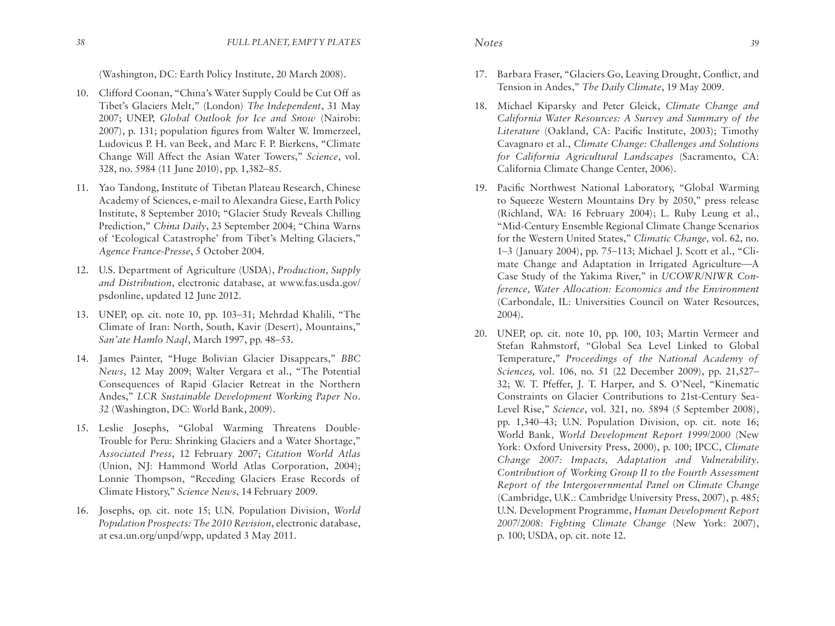(Washington, DC: Earth Policy Institute, 20 March 2008).

- 10. Clifford Coonan, "China's Water Supply Could be Cut Off as Tibet's Glaciers Melt," (London) *The Independent*, 31 May 2007; UNEP, *Global Outlook for Ice and Snow* (Nairobi: 2007), p. 131; population figures from Walter W. Immerzeel, Ludovicus P. H. van Beek, and Marc F. P. Bierkens, "Climate Change Will Affect the Asian Water Towers," *Science*, vol. 328, no. 5984 (11 June 2010), pp. 1,382–85.
- 11. Yao Tandong, Institute of Tibetan Plateau Research, Chinese Academy of Sciences, e-mail to Alexandra Giese, Earth Policy Institute, 8 September 2010; "Glacier Study Reveals Chilling Prediction," *China Daily*, 23 September 2004; "China Warns of 'Ecological Catastrophe' from Tibet's Melting Glaciers," *Agence France-Presse*, 5 October 2004.
- 12. U.S. Department of Agriculture (USDA), *Production, Supply and Distribution*, electronic database, at www.fas.usda.gov/ psdonline, updated 12 June 2012.
- 13. UNEP, op. cit. note 10, pp. 103–31; Mehrdad Khalili, "The Climate of Iran: North, South, Kavir (Desert), Mountains," *San'ate Hamlo Naql*, March 1997, pp. 48–53.
- 14. James Painter, "Huge Bolivian Glacier Disappears," *BBC News*, 12 May 2009; Walter Vergara et al., "The Potential Consequences of Rapid Glacier Retreat in the Northern Andes," *LCR Sustainable Development Working Paper No. 32* (Washington, DC: World Bank, 2009).
- 15. Leslie Josephs, "Global Warming Threatens Double-Trouble for Peru: Shrinking Glaciers and a Water Shortage," *Associated Press*, 12 February 2007; *Citation World Atlas* (Union, NJ: Hammond World Atlas Corporation, 2004); Lonnie Thompson, "Receding Glaciers Erase Records of Climate History," *Science News*, 14 February 2009.
- 16. Josephs, op. cit. note 15; U.N. Population Division, *World Population Prospects: The 2010 Revision*, electronic database, at esa.un.org/unpd/wpp, updated 3 May 2011.
- 17. Barbara Fraser, "Glaciers Go, Leaving Drought, Conflict, and Tension in Andes," *The Daily Climate*, 19 May 2009.
- 18. Michael Kiparsky and Peter Gleick, *Climate Change and California Water Resources: A Survey and Summary of the Literature* (Oakland, CA: Pacific Institute, 2003); Timothy Cavagnaro et al., *Climate Change: Challenges and Solutions for California Agricultural Landscapes* (Sacramento, CA: California Climate Change Center, 2006).
- 19. Pacific Northwest National Laboratory, "Global Warming to Squeeze Western Mountains Dry by 2050," press release (Richland, WA: 16 February 2004); L. Ruby Leung et al., "Mid-Century Ensemble Regional Climate Change Scenarios for the Western United States," *Climatic Change,* vol. 62, no. 1–3 (January 2004), pp. 75–113; Michael J. Scott et al., "Climate Change and Adaptation in Irrigated Agriculture—A Case Study of the Yakima River," in *UCOWR/NIWR Conference, Water Allocation: Economics and the Environment*  (Carbondale, IL: Universities Council on Water Resources, 2004)**.**
- 20. UNEP, op. cit. note 10, pp. 100, 103; Martin Vermeer and Stefan Rahmstorf, "Global Sea Level Linked to Global Temperature," *Proceedings of the National Academy of Sciences,* vol. 106, no. 51 (22 December 2009), pp. 21,527– 32; W. T. Pfeffer, J. T. Harper, and S. O'Neel, "Kinematic Constraints on Glacier Contributions to 21st-Century Sea-Level Rise," *Science*, vol. 321, no. 5894 (5 September 2008), pp. 1,340–43; U.N. Population Division, op. cit. note 16; World Bank, *World Development Report 1999/2000* (New York: Oxford University Press, 2000), p. 100; IPCC, *Climate Change 2007: Impacts, Adaptation and Vulnerability*. *Contribution of Working Group II to the Fourth Assessment Report of the Intergovernmental Panel on Climate Change*  (Cambridge, U.K.: Cambridge University Press, 2007), p. 485; U.N. Development Programme, *Human Development Report 2007/2008: Fighting Climate Change* (New York: 2007), p. 100; USDA, op. cit. note 12.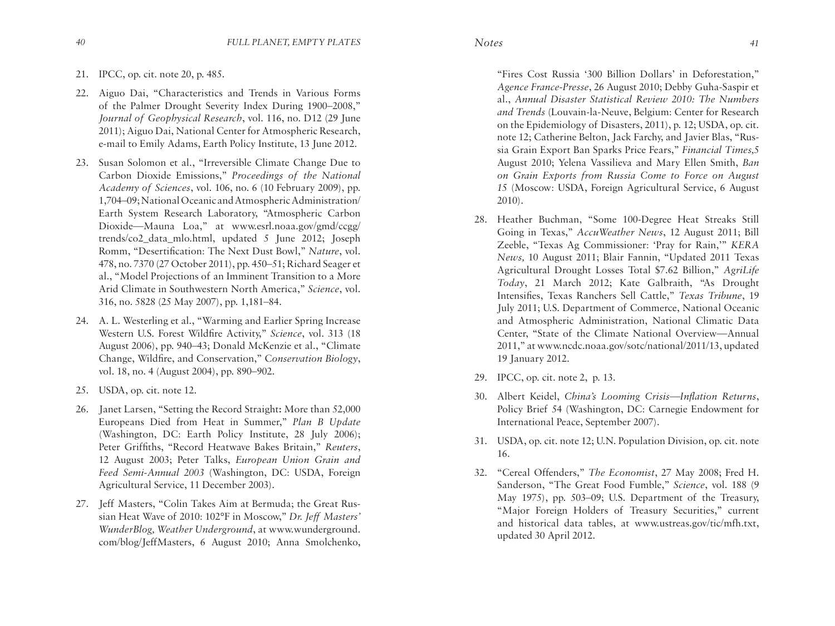- 21. IPCC, op. cit. note 20, p. 485.
- 22. Aiguo Dai, "Characteristics and Trends in Various Forms of the Palmer Drought Severity Index During 1900–2008," *Journal of Geophysical Research*, vol. 116, no. D12 (29 June 2011); Aiguo Dai, National Center for Atmospheric Research, e-mail to Emily Adams, Earth Policy Institute, 13 June 2012.
- 23. Susan Solomon et al., "Irreversible Climate Change Due to Carbon Dioxide Emissions," *Proceedings of the National Academy of Sciences*, vol. 106, no. 6 (10 February 2009), pp. 1,704–09; National Oceanic and Atmospheric Administration/ Earth System Research Laboratory, "Atmospheric Carbon Dioxide—Mauna Loa," at www.esrl.noaa.gov/gmd/ccgg/ trends/co2\_data\_mlo.html, updated 5 June 2012; Joseph Romm, "Desertification: The Next Dust Bowl," *Nature*, vol. 478, no. 7370 (27 October 2011), pp. 450–51; Richard Seager et al., "Model Projections of an Imminent Transition to a More Arid Climate in Southwestern North America," *Science*, vol. 316, no. 5828 (25 May 2007), pp. 1,181–84.
- 24. A. L. Westerling et al., "Warming and Earlier Spring Increase Western U.S. Forest Wildfire Activity," *Science*, vol. 313 (18 August 2006), pp. 940–43; Donald McKenzie et al., "Climate Change, Wildfire, and Conservation," C*onservation Biology*, vol. 18, no. 4 (August 2004), pp. 890–902.
- 25. USDA, op. cit. note 12.
- 26. Janet Larsen, "Setting the Record Straight**:** More than 52,000 Europeans Died from Heat in Summer," *Plan B Update* (Washington, DC: Earth Policy Institute, 28 July 2006); Peter Griffiths, "Record Heatwave Bakes Britain," *Reuters*, 12 August 2003; Peter Talks, *European Union Grain and Feed Semi-Annual 2003* (Washington, DC: USDA, Foreign Agricultural Service, 11 December 2003).
- 27. Jeff Masters, "Colin Takes Aim at Bermuda; the Great Russian Heat Wave of 2010: 102°F in Moscow," *Dr. Jeff Masters' WunderBlog, Weather Underground*, at www.wunderground. com/blog/JeffMasters, 6 August 2010; Anna Smolchenko,

"Fires Cost Russia '300 Billion Dollars' in Deforestation," *Agence France-Presse*, 26 August 2010; Debby Guha-Saspir et al., *Annual Disaster Statistical Review 2010: The Numbers and Trends* (Louvain-la-Neuve, Belgium: Center for Research on the Epidemiology of Disasters, 2011), p. 12; USDA, op. cit. note 12; Catherine Belton, Jack Farchy, and Javier Blas, "Russia Grain Export Ban Sparks Price Fears," *Financial Times,*5 August 2010; Yelena Vassilieva and Mary Ellen Smith, *Ban on Grain Exports from Russia Come to Force on August 15* (Moscow: USDA, Foreign Agricultural Service, 6 August 2010).

- 28. Heather Buchman, "Some 100-Degree Heat Streaks Still Going in Texas," *AccuWeather News*, 12 August 2011; Bill Zeeble, "Texas Ag Commissioner: 'Pray for Rain,'" *KERA News,* 10 August 2011; Blair Fannin, "Updated 2011 Texas Agricultural Drought Losses Total \$7.62 Billion," *AgriLife Today*, 21 March 2012; Kate Galbraith, "As Drought Intensifies, Texas Ranchers Sell Cattle," *Texas Tribune*, 19 July 2011; U.S. Department of Commerce, National Oceanic and Atmospheric Administration, National Climatic Data Center, "State of the Climate National Overview—Annual 2011," at www.ncdc.noaa.gov/sotc/national/2011/13, updated 19 January 2012.
- 29. IPCC, op. cit. note 2, p. 13.
- 30. Albert Keidel, *China's Looming Crisis—Inflation Returns*, Policy Brief 54 (Washington, DC: Carnegie Endowment for International Peace, September 2007).
- 31. USDA, op. cit. note 12; U.N. Population Division, op. cit. note 16.
- 32. "Cereal Offenders," *The Economist*, 27 May 2008; Fred H. Sanderson, "The Great Food Fumble," *Science*, vol. 188 (9 May 1975), pp. 503–09; U.S. Department of the Treasury, "Major Foreign Holders of Treasury Securities," current and historical data tables, at www.ustreas.gov/tic/mfh.txt, updated 30 April 2012.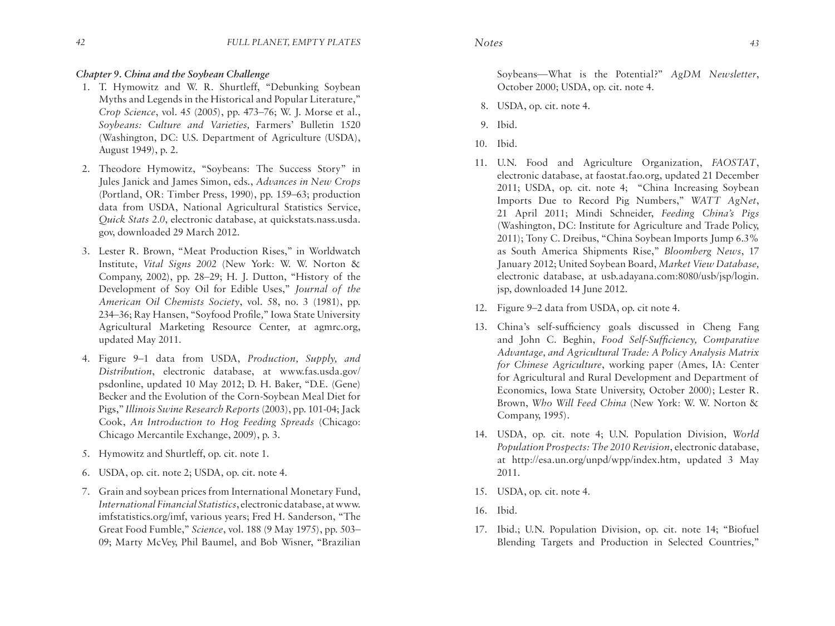## *Chapter 9. China and the Soybean Challenge*

- 1. T. Hymowitz and W. R. Shurtleff, "Debunking Soybean Myths and Legends in the Historical and Popular Literature," *Crop Science*, vol. 45 (2005), pp. 473–76; W. J. Morse et al., *Soybeans: Culture and Varieties,* Farmers' Bulletin 1520 (Washington, DC: U.S. Department of Agriculture (USDA), August 1949), p. 2.
- 2. Theodore Hymowitz, "Soybeans: The Success Story" in Jules Janick and James Simon, eds., *Advances in New Crops* (Portland, OR: Timber Press, 1990), pp. 159–63; production data from USDA, National Agricultural Statistics Service, *Quick Stats 2.0*, electronic database, at quickstats.nass.usda. gov, downloaded 29 March 2012.
- 3. Lester R. Brown, "Meat Production Rises," in Worldwatch Institute, *Vital Signs 2002* (New York: W. W. Norton & Company, 2002), pp. 28–29; H. J. Dutton, "History of the Development of Soy Oil for Edible Uses," *Journal of the American Oil Chemists Society*, vol. 58, no. 3 (1981), pp. 234–36; Ray Hansen, "Soyfood Profile*,*" Iowa State University Agricultural Marketing Resource Center, at agmrc.org, updated May 2011.
- 4. Figure 9–1 data from USDA, *Production, Supply, and Distribution*, electronic database, at www.fas.usda.gov/ psdonline, updated 10 May 2012; D. H. Baker, "D.E. (Gene) Becker and the Evolution of the Corn-Soybean Meal Diet for Pigs," *Illinois Swine Research Reports* (2003), pp. 101-04; Jack Cook, *An Introduction to Hog Feeding Spreads* (Chicago: Chicago Mercantile Exchange, 2009), p. 3.
- 5. Hymowitz and Shurtleff, op. cit. note 1.
- 6. USDA, op. cit. note 2; USDA, op. cit. note 4.
- 7. Grain and soybean prices from International Monetary Fund, *International Financial Statistics*, electronic database, at www. imfstatistics.org/imf, various years; Fred H. Sanderson, "The Great Food Fumble," *Science*, vol. 188 (9 May 1975), pp. 503– 09; Marty McVey, Phil Baumel, and Bob Wisner, "Brazilian

Soybeans—What is the Potential?" *AgDM Newsletter*, October 2000; USDA, op. cit. note 4.

- 8. USDA, op. cit. note 4.
- 9. Ibid.
- 10. Ibid.
- 11. U.N. Food and Agriculture Organization, *FAOSTAT*, electronic database, at faostat.fao.org, updated 21 December 2011; USDA, op. cit. note 4; "China Increasing Soybean Imports Due to Record Pig Numbers," *WATT AgNet*, 21 April 2011; Mindi Schneider, *Feeding China's Pigs* (Washington, DC: Institute for Agriculture and Trade Policy, 2011); Tony C. Dreibus, "China Soybean Imports Jump 6.3% as South America Shipments Rise," *Bloomberg News*, 17 January 2012; United Soybean Board, *Market View Database,*  electronic database, at usb.adayana.com:8080/usb/jsp/login. jsp, downloaded 14 June 2012.
- 12. Figure 9–2 data from USDA, op. cit note 4.
- 13. China's self-sufficiency goals discussed in Cheng Fang and John C. Beghin, *Food Self-Sufficiency, Comparative Advantage, and Agricultural Trade: A Policy Analysis Matrix for Chinese Agriculture*, working paper (Ames, IA: Center for Agricultural and Rural Development and Department of Economics, Iowa State University, October 2000); Lester R. Brown, *Who Will Feed China* (New York: W. W. Norton & Company, 1995).
- 14. USDA, op. cit. note 4; U.N. Population Division, *World Population Prospects: The 2010 Revision*, electronic database, at http://esa.un.org/unpd/wpp/index.htm, updated 3 May 2011.
- 15. USDA, op. cit. note 4.
- 16. Ibid.
- 17. Ibid.; U.N. Population Division, op. cit. note 14; "Biofuel Blending Targets and Production in Selected Countries,"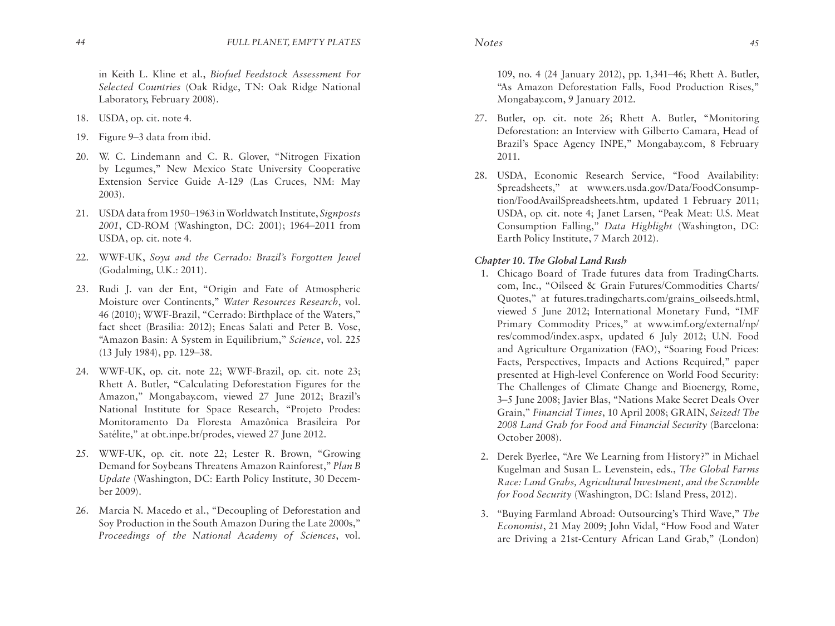in Keith L. Kline et al., *Biofuel Feedstock Assessment For Selected Countries* (Oak Ridge, TN: Oak Ridge National Laboratory, February 2008).

- 18. USDA, op. cit. note 4.
- 19. Figure 9–3 data from ibid.
- 20. W. C. Lindemann and C. R. Glover, "Nitrogen Fixation by Legumes," New Mexico State University Cooperative Extension Service Guide A-129 (Las Cruces, NM: May 2003).
- 21. USDA data from 1950–1963 in Worldwatch Institute, *Signposts 2001*, CD-ROM (Washington, DC: 2001); 1964–2011 from USDA, op. cit. note 4.
- 22. WWF-UK, *Soya and the Cerrado: Brazil's Forgotten Jewel* (Godalming, U.K.: 2011).
- 23. Rudi J. van der Ent, "Origin and Fate of Atmospheric Moisture over Continents," *Water Resources Research*, vol. 46 (2010); WWF-Brazil, "Cerrado: Birthplace of the Waters," fact sheet (Brasilia: 2012); Eneas Salati and Peter B. Vose, "Amazon Basin: A System in Equilibrium," *Science*, vol. 225 (13 July 1984), pp. 129–38.
- 24. WWF-UK, op. cit. note 22; WWF-Brazil, op. cit. note 23; Rhett A. Butler, "Calculating Deforestation Figures for the Amazon," Mongabay.com, viewed 27 June 2012; Brazil's National Institute for Space Research, "Projeto Prodes: Monitoramento Da Floresta Amazônica Brasileira Por Satélite," at obt.inpe.br/prodes, viewed 27 June 2012.
- 25. WWF-UK, op. cit. note 22; Lester R. Brown, "Growing Demand for Soybeans Threatens Amazon Rainforest," *Plan B Update* (Washington, DC: Earth Policy Institute, 30 December 2009).
- 26. Marcia N. Macedo et al., "Decoupling of Deforestation and Soy Production in the South Amazon During the Late 2000s," *Proceedings of the National Academy of Sciences*, vol.

109, no. 4 (24 January 2012), pp. 1,341–46; Rhett A. Butler, "As Amazon Deforestation Falls, Food Production Rises," Mongabay.com, 9 January 2012.

- 27. Butler, op. cit. note 26; Rhett A. Butler, "Monitoring Deforestation: an Interview with Gilberto Camara, Head of Brazil's Space Agency INPE," Mongabay.com, 8 February 2011.
- 28. USDA, Economic Research Service, "Food Availability: Spreadsheets," at www.ers.usda.gov/Data/FoodConsumption/FoodAvailSpreadsheets.htm, updated 1 February 2011; USDA, op. cit. note 4; Janet Larsen, "Peak Meat: U.S. Meat Consumption Falling," *Data Highlight* (Washington, DC: Earth Policy Institute, 7 March 2012).

# *Chapter 10. The Global Land Rush*

- 1. Chicago Board of Trade futures data from TradingCharts. com, Inc., "Oilseed & Grain Futures/Commodities Charts/ Quotes," at futures.tradingcharts.com/grains\_oilseeds.html, viewed 5 June 2012; International Monetary Fund, "IMF Primary Commodity Prices," at www.imf.org/external/np/ res/commod/index.aspx, updated 6 July 2012; U.N. Food and Agriculture Organization (FAO), "Soaring Food Prices: Facts, Perspectives, Impacts and Actions Required," paper presented at High-level Conference on World Food Security: The Challenges of Climate Change and Bioenergy, Rome, 3–5 June 2008; Javier Blas, "Nations Make Secret Deals Over Grain," *Financial Times*, 10 April 2008; GRAIN, *Seized! The 2008 Land Grab for Food and Financial Security* (Barcelona: October 2008).
- 2. Derek Byerlee, "Are We Learning from History?" in Michael Kugelman and Susan L. Levenstein, eds., *The Global Farms Race: Land Grabs, Agricultural Investment, and the Scramble for Food Security* (Washington, DC: Island Press, 2012).
- 3. "Buying Farmland Abroad: Outsourcing's Third Wave," *The Economist*, 21 May 2009; John Vidal, "How Food and Water are Driving a 21st-Century African Land Grab," (London)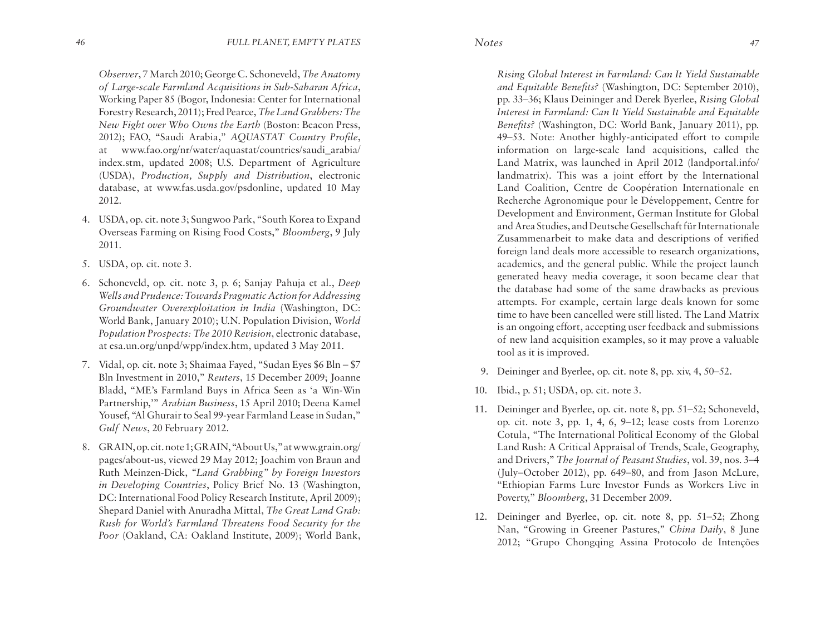*Observer*, 7 March 2010; George C. Schoneveld, *The Anatomy of Large-scale Farmland Acquisitions in Sub-Saharan Africa*, Working Paper 85 (Bogor, Indonesia: Center for International Forestry Research, 2011); Fred Pearce, *The Land Grabbers: The New Fight over Who Owns the Earth* (Boston: Beacon Press, 2012); FAO, "Saudi Arabia," *AQUASTAT Country Profile*, at www.fao.org/nr/water/aquastat/countries/saudi\_arabia/ index.stm, updated 2008; U.S. Department of Agriculture (USDA), *Production, Supply and Distribution*, electronic database, at www.fas.usda.gov/psdonline, updated 10 May 2012.

- 4. USDA, op. cit. note 3; Sungwoo Park, "South Korea to Expand Overseas Farming on Rising Food Costs," *Bloomberg*, 9 July 2011.
- 5. USDA, op. cit. note 3.
- 6. Schoneveld, op. cit. note 3, p. 6; Sanjay Pahuja et al., *Deep Wells and Prudence: Towards Pragmatic Action for Addressing Groundwater Overexploitation in India* (Washington, DC: World Bank, January 2010); U.N. Population Division, *World Population Prospects: The 2010 Revision*, electronic database, at esa.un.org/unpd/wpp/index.htm, updated 3 May 2011.
- 7. Vidal, op. cit. note 3; Shaimaa Fayed, "Sudan Eyes \$6 Bln \$7 Bln Investment in 2010," *Reuters*, 15 December 2009; Joanne Bladd, "ME's Farmland Buys in Africa Seen as 'a Win-Win Partnership,'" *Arabian Business*, 15 April 2010; Deena Kamel Yousef, "Al Ghurair to Seal 99-year Farmland Lease in Sudan," *Gulf News*, 20 February 2012.
- 8. GRAIN, op. cit. note 1; GRAIN, "About Us," at www.grain.org/ pages/about-us, viewed 29 May 2012; Joachim von Braun and Ruth Meinzen-Dick, *"Land Grabbing" by Foreign Investors in Developing Countries*, Policy Brief No. 13 (Washington, DC: International Food Policy Research Institute, April 2009); Shepard Daniel with Anuradha Mittal, *The Great Land Grab: Rush for World's Farmland Threatens Food Security for the Poor* (Oakland, CA: Oakland Institute, 2009); World Bank,

*Rising Global Interest in Farmland: Can It Yield Sustainable and Equitable Benefits?* (Washington, DC: September 2010), pp. 33–36; Klaus Deininger and Derek Byerlee, *Rising Global Interest in Farmland: Can It Yield Sustainable and Equitable Benefits?* (Washington, DC: World Bank, January 2011), pp. 49–53. Note: Another highly-anticipated effort to compile information on large-scale land acquisitions, called the Land Matrix, was launched in April 2012 (landportal.info/ landmatrix). This was a joint effort by the International Land Coalition, Centre de Coopération Internationale en Recherche Agronomique pour le Développement, Centre for Development and Environment, German Institute for Global and Area Studies, and Deutsche Gesellschaft für Internationale Zusammenarbeit to make data and descriptions of verified foreign land deals more accessible to research organizations, academics, and the general public. While the project launch generated heavy media coverage, it soon became clear that the database had some of the same drawbacks as previous attempts. For example, certain large deals known for some time to have been cancelled were still listed. The Land Matrix is an ongoing effort, accepting user feedback and submissions of new land acquisition examples, so it may prove a valuable tool as it is improved.

- 9. Deininger and Byerlee, op. cit. note 8, pp. xiv, 4, 50–52.
- 10. Ibid., p. 51; USDA, op. cit. note 3.
- 11. Deininger and Byerlee, op. cit. note 8, pp. 51–52; Schoneveld, op. cit. note 3, pp. 1, 4, 6, 9–12; lease costs from Lorenzo Cotula, "The International Political Economy of the Global Land Rush: A Critical Appraisal of Trends, Scale, Geography, and Drivers," *The Journal of Peasant Studies*, vol. 39, nos. 3–4 (July–October 2012), pp. 649–80, and from Jason McLure, "Ethiopian Farms Lure Investor Funds as Workers Live in Poverty," *Bloomberg*, 31 December 2009.
- 12. Deininger and Byerlee, op. cit. note 8, pp. 51–52; Zhong Nan, "Growing in Greener Pastures," *China Daily*, 8 June 2012; "Grupo Chongqing Assina Protocolo de Intenções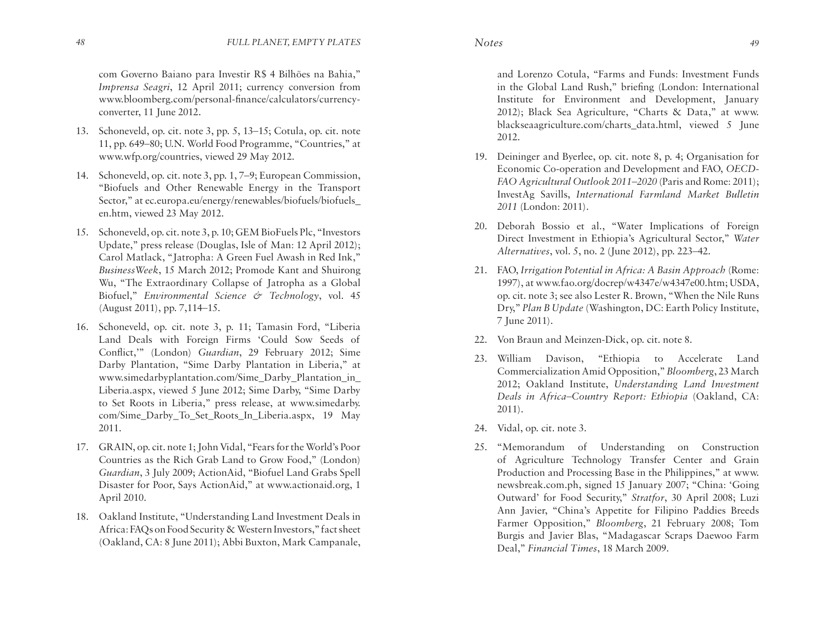com Governo Baiano para Investir R\$ 4 Bilhões na Bahia," *Imprensa Seagri*, 12 April 2011; currency conversion from www.bloomberg.com/personal-finance/calculators/currencyconverter, 11 June 2012.

- 13. Schoneveld, op. cit. note 3, pp. 5, 13–15; Cotula, op. cit. note 11, pp. 649–80; U.N. World Food Programme, "Countries," at www.wfp.org/countries, viewed 29 May 2012.
- 14. Schoneveld, op. cit. note 3, pp. 1, 7–9; European Commission, "Biofuels and Other Renewable Energy in the Transport Sector," at ec.europa.eu/energy/renewables/biofuels/biofuels\_ en.htm, viewed 23 May 2012.
- 15. Schoneveld, op. cit. note 3, p. 10; GEM BioFuels Plc, "Investors Update," press release (Douglas, Isle of Man: 12 April 2012); Carol Matlack, "Jatropha: A Green Fuel Awash in Red Ink," *BusinessWeek*, 15 March 2012; Promode Kant and Shuirong Wu, "The Extraordinary Collapse of Jatropha as a Global Biofuel," *Environmental Science & Technology*, vol. 45 (August 2011), pp. 7,114–15.
- 16. Schoneveld, op. cit. note 3, p. 11; Tamasin Ford, "Liberia Land Deals with Foreign Firms 'Could Sow Seeds of Conflict,'" (London) *Guardian*, 29 February 2012; Sime Darby Plantation, "Sime Darby Plantation in Liberia," at www.simedarbyplantation.com/Sime\_Darby\_Plantation\_in\_ Liberia.aspx, viewed 5 June 2012; Sime Darby, "Sime Darby to Set Roots in Liberia," press release, at www.simedarby. com/Sime\_Darby\_To\_Set\_Roots\_In\_Liberia.aspx, 19 May 2011.
- 17. GRAIN, op. cit. note 1; John Vidal, "Fears for the World's Poor Countries as the Rich Grab Land to Grow Food," (London) *Guardian*, 3 July 2009; ActionAid, "Biofuel Land Grabs Spell Disaster for Poor, Says ActionAid," at www.actionaid.org, 1 April 2010.
- 18. Oakland Institute, "Understanding Land Investment Deals in Africa: FAQs on Food Security & Western Investors," fact sheet (Oakland, CA: 8 June 2011); Abbi Buxton, Mark Campanale,

and Lorenzo Cotula, "Farms and Funds: Investment Funds in the Global Land Rush," briefing (London: International Institute for Environment and Development, January 2012); Black Sea Agriculture, "Charts & Data," at www. blackseaagriculture.com/charts\_data.html, viewed 5 June 2012.

- 19. Deininger and Byerlee, op. cit. note 8, p. 4; Organisation for Economic Co-operation and Development and FAO, *OECD-FAO Agricultural Outlook 2011–2020* (Paris and Rome: 2011); InvestAg Savills, *International Farmland Market Bulletin 2011* (London: 2011).
- 20. Deborah Bossio et al., "Water Implications of Foreign Direct Investment in Ethiopia's Agricultural Sector," *Water Alternatives*, vol. 5, no. 2 (June 2012), pp. 223–42.
- 21. FAO, *Irrigation Potential in Africa: A Basin Approach* (Rome: 1997), at www.fao.org/docrep/w4347e/w4347e00.htm; USDA, op. cit. note 3; see also Lester R. Brown, "When the Nile Runs Dry," *Plan B Update* (Washington, DC: Earth Policy Institute, 7 June 2011).
- 22. Von Braun and Meinzen-Dick, op. cit. note 8.
- 23. William Davison, "Ethiopia to Accelerate Land Commercialization Amid Opposition," *Bloomberg*, 23 March 2012; Oakland Institute, *Understanding Land Investment Deals in Africa–Country Report: Ethiopia* (Oakland, CA: 2011).
- 24. Vidal, op. cit. note 3.
- 25. "Memorandum of Understanding on Construction of Agriculture Technology Transfer Center and Grain Production and Processing Base in the Philippines," at www. newsbreak.com.ph, signed 15 January 2007; "China: 'Going Outward' for Food Security," *Stratfor*, 30 April 2008; Luzi Ann Javier, "China's Appetite for Filipino Paddies Breeds Farmer Opposition," *Bloomberg*, 21 February 2008; Tom Burgis and Javier Blas, "Madagascar Scraps Daewoo Farm Deal," *Financial Times*, 18 March 2009.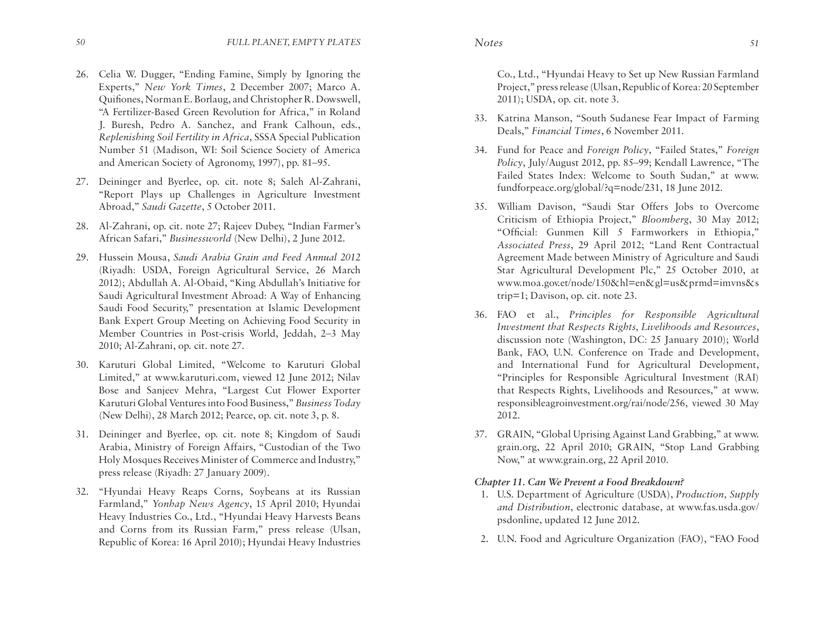- 26. Celia W. Dugger, "Ending Famine, Simply by Ignoring the Experts," *New York Times*, 2 December 2007; Marco A. Quifiones, Norman E. Borlaug, and Christopher R. Dowswell, "A Fertilizer-Based Green Revolution for Africa," in Roland J. Buresh, Pedro A. Sanchez, and Frank Calhoun, eds., *Replenishing Soil Fertility in Africa*, SSSA Special Publication Number 51 (Madison, WI: Soil Science Society of America and American Society of Agronomy, 1997), pp. 81–95.
- 27. Deininger and Byerlee, op. cit. note 8; Saleh Al-Zahrani, "Report Plays up Challenges in Agriculture Investment Abroad," *Saudi Gazette*, 5 October 2011.
- 28. Al-Zahrani, op. cit. note 27; Rajeev Dubey, "Indian Farmer's African Safari," *Businessworld* (New Delhi), 2 June 2012.
- 29. Hussein Mousa, *Saudi Arabia Grain and Feed Annual 2012* (Riyadh: USDA, Foreign Agricultural Service, 26 March 2012); Abdullah A. Al-Obaid, "King Abdullah's Initiative for Saudi Agricultural Investment Abroad: A Way of Enhancing Saudi Food Security," presentation at Islamic Development Bank Expert Group Meeting on Achieving Food Security in Member Countries in Post-crisis World, Jeddah, 2–3 May 2010; Al-Zahrani, op. cit. note 27.
- 30. Karuturi Global Limited, "Welcome to Karuturi Global Limited," at www.karuturi.com, viewed 12 June 2012; Nilav Bose and Sanjeev Mehra, "Largest Cut Flower Exporter Karuturi Global Ventures into Food Business," *Business Today*  (New Delhi), 28 March 2012; Pearce, op. cit. note 3, p. 8.
- 31. Deininger and Byerlee, op. cit. note 8; Kingdom of Saudi Arabia, Ministry of Foreign Affairs, "Custodian of the Two Holy Mosques Receives Minister of Commerce and Industry," press release (Riyadh: 27 January 2009).
- 32. "Hyundai Heavy Reaps Corns, Soybeans at its Russian Farmland," *Yonhap News Agency*, 15 April 2010; Hyundai Heavy Industries Co., Ltd., "Hyundai Heavy Harvests Beans and Corns from its Russian Farm," press release (Ulsan, Republic of Korea: 16 April 2010); Hyundai Heavy Industries

Co., Ltd., "Hyundai Heavy to Set up New Russian Farmland Project," press release (Ulsan, Republic of Korea: 20 September 2011); USDA, op. cit. note 3.

- 33. Katrina Manson, "South Sudanese Fear Impact of Farming Deals," *Financial Times*, 6 November 2011.
- 34. Fund for Peace and *Foreign Policy*, "Failed States," *Foreign Policy*, July/August 2012, pp. 85–99; Kendall Lawrence, "The Failed States Index: Welcome to South Sudan," at www. fundforpeace.org/global/?q=node/231, 18 June 2012.
- 35. William Davison, "Saudi Star Offers Jobs to Overcome Criticism of Ethiopia Project," *Bloomberg*, 30 May 2012; "Official: Gunmen Kill 5 Farmworkers in Ethiopia," *Associated Press*, 29 April 2012; "Land Rent Contractual Agreement Made between Ministry of Agriculture and Saudi Star Agricultural Development Plc," 25 October 2010, at www.moa.gov.et/node/150&hl=en&gl=us&prmd=imvns&s trip=1; Davison, op. cit. note 23.
- 36. FAO et al., *Principles for Responsible Agricultural Investment that Respects Rights, Livelihoods and Resources*, discussion note (Washington, DC: 25 January 2010); World Bank, FAO, U.N. Conference on Trade and Development, and International Fund for Agricultural Development, "Principles for Responsible Agricultural Investment (RAI) that Respects Rights, Livelihoods and Resources," at www. responsibleagroinvestment.org/rai/node/256, viewed 30 May 2012.
- 37. GRAIN, "Global Uprising Against Land Grabbing," at www. grain.org, 22 April 2010; GRAIN, "Stop Land Grabbing Now," at www.grain.org, 22 April 2010.

# *Chapter 11. Can We Prevent a Food Breakdown?*

- 1. U.S. Department of Agriculture (USDA), *Production, Supply and Distribution*, electronic database, at www.fas.usda.gov/ psdonline, updated 12 June 2012.
- 2. U.N. Food and Agriculture Organization (FAO), "FAO Food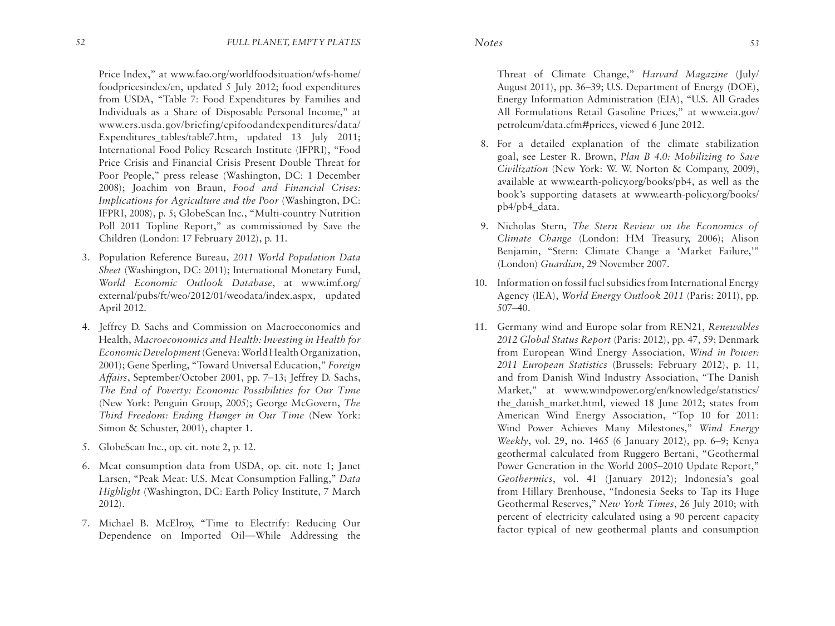Price Index," at www.fao.org/worldfoodsituation/wfs-home/ foodpricesindex/en, updated 5 July 2012; food expenditures from USDA, "Table 7: Food Expenditures by Families and Individuals as a Share of Disposable Personal Income," at www.ers.usda.gov/briefing/cpifoodandexpenditures/data/ Expenditures tables/table7.htm, updated 13 July 2011; International Food Policy Research Institute (IFPRI), "Food Price Crisis and Financial Crisis Present Double Threat for Poor People," press release (Washington, DC: 1 December 2008); Joachim von Braun, *Food and Financial Crises: Implications for Agriculture and the Poor* (Washington, DC: IFPRI, 2008), p. 5; GlobeScan Inc., "Multi-country Nutrition Poll 2011 Topline Report," as commissioned by Save the Children (London: 17 February 2012), p. 11.

- 3. Population Reference Bureau, *2011 World Population Data Sheet* (Washington, DC: 2011); International Monetary Fund, *World Economic Outlook Database*, at www.imf.org/ external/pubs/ft/weo/2012/01/weodata/index.aspx, updated April 2012.
- 4. Jeffrey D. Sachs and Commission on Macroeconomics and Health, *Macroeconomics and Health: Investing in Health for Economic Development* (Geneva: World Health Organization, 2001); Gene Sperling, "Toward Universal Education," *Foreign Affairs*, September/October 2001, pp. 7–13; Jeffrey D. Sachs, *The End of Poverty: Economic Possibilities for Our Time* (New York: Penguin Group, 2005); George McGovern, *The Third Freedom: Ending Hunger in Our Time* (New York: Simon & Schuster, 2001), chapter 1.
- 5. GlobeScan Inc., op. cit. note 2, p. 12.
- 6. Meat consumption data from USDA, op. cit. note 1; Janet Larsen, "Peak Meat: U.S. Meat Consumption Falling," *Data Highlight* (Washington, DC: Earth Policy Institute, 7 March 2012).
- 7. Michael B. McElroy, "Time to Electrify: Reducing Our Dependence on Imported Oil—While Addressing the

Threat of Climate Change," *Harvard Magazine* (July/ August 2011), pp. 36–39; U.S. Department of Energy (DOE), Energy Information Administration (EIA), "U.S. All Grades All Formulations Retail Gasoline Prices," at www.eia.gov/ petroleum/data.cfm#prices, viewed 6 June 2012.

- 8. For a detailed explanation of the climate stabilization goal, see Lester R. Brown, *Plan B 4.0: Mobilizing to Save Civilization* (New York: W. W. Norton & Company, 2009), available at www.earth-policy.org/books/pb4, as well as the book's supporting datasets at www.earth-policy.org/books/ pb4/pb4\_data.
- 9. Nicholas Stern, *The Stern Review on the Economics of Climate Change* (London: HM Treasury, 2006); Alison Benjamin, "Stern: Climate Change a 'Market Failure,'" (London) *Guardian*, 29 November 2007.
- 10. Information on fossil fuel subsidies from International Energy Agency (IEA), *World Energy Outlook 2011* (Paris: 2011), pp. 507–40.
- 11. Germany wind and Europe solar from REN21, *Renewables 2012 Global Status Report* (Paris: 2012), pp. 47, 59; Denmark from European Wind Energy Association, *Wind in Power: 2011 European Statistics* (Brussels: February 2012), p. 11, and from Danish Wind Industry Association, "The Danish Market," at www.windpower.org/en/knowledge/statistics/ the danish market.html, viewed 18 June 2012; states from American Wind Energy Association, "Top 10 for 2011: Wind Power Achieves Many Milestones," *Wind Energy Weekly*, vol. 29, no. 1465 (6 January 2012), pp. 6–9; Kenya geothermal calculated from Ruggero Bertani, "Geothermal Power Generation in the World 2005–2010 Update Report," *Geothermics*, vol. 41 (January 2012); Indonesia's goal from Hillary Brenhouse, "Indonesia Seeks to Tap its Huge Geothermal Reserves," *New York Times*, 26 July 2010; with percent of electricity calculated using a 90 percent capacity factor typical of new geothermal plants and consumption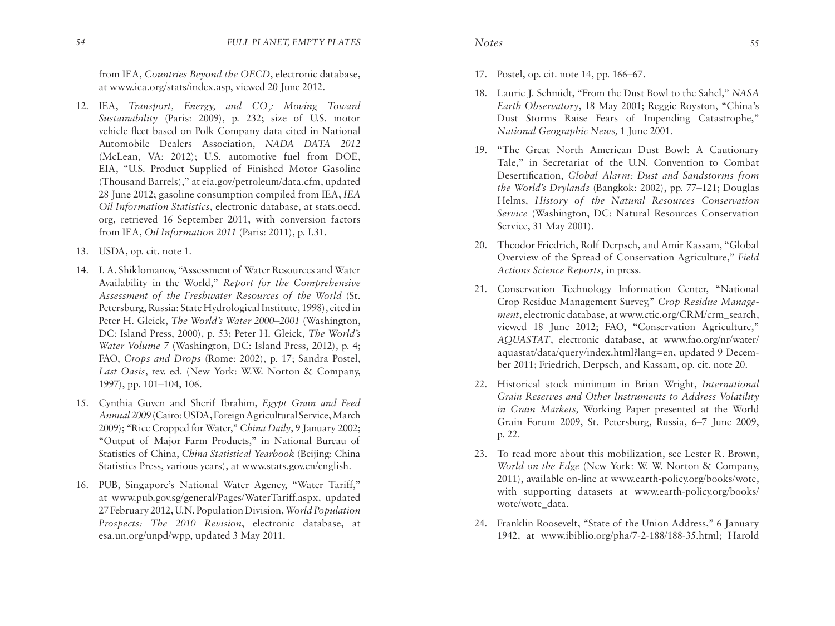from IEA, *Countries Beyond the OECD*, electronic database, at www.iea.org/stats/index.asp, viewed 20 June 2012.

- 12. IEA, *Transport, Energy, and CO<sub>2</sub>: Moving Toward Sustainability* (Paris: 2009), p. 232; size of U.S. motor vehicle fleet based on Polk Company data cited in National Automobile Dealers Association, *NADA DATA 2012* (McLean, VA: 2012); U.S. automotive fuel from DOE, EIA, "U.S. Product Supplied of Finished Motor Gasoline (Thousand Barrels)," at eia.gov/petroleum/data.cfm, updated 28 June 2012; gasoline consumption compiled from IEA, *IEA Oil Information Statistics*, electronic database, at stats.oecd. org, retrieved 16 September 2011, with conversion factors from IEA, *Oil Information 2011* (Paris: 2011), p. I.31.
- 13. USDA, op. cit. note 1.
- 14. I. A. Shiklomanov, "Assessment of Water Resources and Water Availability in the World," *Report for the Comprehensive Assessment of the Freshwater Resources of the World* (St. Petersburg, Russia: State Hydrological Institute, 1998), cited in Peter H. Gleick, *The World's Water 2000–2001* (Washington, DC: Island Press, 2000), p. 53; Peter H. Gleick, *The World's Water Volume 7* (Washington, DC: Island Press, 2012), p. 4; FAO, *Crops and Drops* (Rome: 2002), p. 17; Sandra Postel, *Last Oasis*, rev. ed. (New York: W.W. Norton & Company, 1997), pp. 101–104, 106.
- 15. Cynthia Guven and Sherif Ibrahim, *Egypt Grain and Feed Annual 2009* (Cairo: USDA, Foreign Agricultural Service, March 2009); "Rice Cropped for Water," *China Daily*, 9 January 2002; "Output of Major Farm Products," in National Bureau of Statistics of China, *China Statistical Yearbook* (Beijing: China Statistics Press, various years), at www.stats.gov.cn/english.
- 16. PUB, Singapore's National Water Agency, "Water Tariff," at www.pub.gov.sg/general/Pages/WaterTariff.aspx, updated 27 February 2012, U.N. Population Division, *World Population Prospects: The 2010 Revision*, electronic database, at esa.un.org/unpd/wpp, updated 3 May 2011.

- 17. Postel, op. cit. note 14, pp. 166–67.
- 18. Laurie J. Schmidt, "From the Dust Bowl to the Sahel," *NASA Earth Observatory*, 18 May 2001; Reggie Royston, "China's Dust Storms Raise Fears of Impending Catastrophe," *National Geographic News,* 1 June 2001.
- 19. "The Great North American Dust Bowl: A Cautionary Tale," in Secretariat of the U.N. Convention to Combat Desertification, *Global Alarm: Dust and Sandstorms from the World's Drylands* (Bangkok: 2002), pp. 77–121; Douglas Helms, *History of the Natural Resources Conservation Service* (Washington, DC: Natural Resources Conservation Service, 31 May 2001).
- 20. Theodor Friedrich, Rolf Derpsch, and Amir Kassam, "Global Overview of the Spread of Conservation Agriculture," *Field Actions Science Reports*, in press.
- 21. Conservation Technology Information Center, "National Crop Residue Management Survey," *Crop Residue Management*, electronic database, at www.ctic.org/CRM/crm\_search, viewed 18 June 2012; FAO, "Conservation Agriculture," *AQUASTAT*, electronic database, at www.fao.org/nr/water/ aquastat/data/query/index.html?lang=en, updated 9 December 2011; Friedrich, Derpsch, and Kassam, op. cit. note 20.
- 22. Historical stock minimum in Brian Wright, *International Grain Reserves and Other Instruments to Address Volatility in Grain Markets,* Working Paper presented at the World Grain Forum 2009, St. Petersburg, Russia, 6–7 June 2009, p. 22.
- 23. To read more about this mobilization, see Lester R. Brown, *World on the Edge* (New York: W. W. Norton & Company, 2011), available on-line at www.earth-policy.org/books/wote, with supporting datasets at www.earth-policy.org/books/ wote/wote\_data.
- 24. Franklin Roosevelt, "State of the Union Address," 6 January 1942, at www.ibiblio.org/pha/7-2-188/188-35.html; Harold